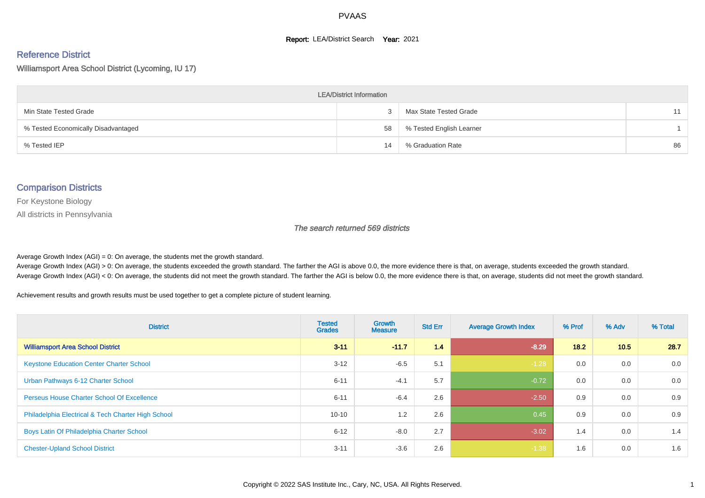#### **Report: LEA/District Search Year: 2021**

# Reference District

#### Williamsport Area School District (Lycoming, IU 17)

| <b>LEA/District Information</b>     |    |                          |    |  |  |  |  |  |  |  |
|-------------------------------------|----|--------------------------|----|--|--|--|--|--|--|--|
| Min State Tested Grade              |    | Max State Tested Grade   | 11 |  |  |  |  |  |  |  |
| % Tested Economically Disadvantaged | 58 | % Tested English Learner |    |  |  |  |  |  |  |  |
| % Tested IEP                        | 14 | % Graduation Rate        | 86 |  |  |  |  |  |  |  |

#### Comparison Districts

For Keystone Biology

All districts in Pennsylvania

The search returned 569 districts

Average Growth Index  $(AGI) = 0$ : On average, the students met the growth standard.

Average Growth Index (AGI) > 0: On average, the students exceeded the growth standard. The farther the AGI is above 0.0, the more evidence there is that, on average, students exceeded the growth standard. Average Growth Index (AGI) < 0: On average, the students did not meet the growth standard. The farther the AGI is below 0.0, the more evidence there is that, on average, students did not meet the growth standard.

Achievement results and growth results must be used together to get a complete picture of student learning.

| <b>District</b>                                    | <b>Tested</b><br><b>Grades</b> | <b>Growth</b><br><b>Measure</b> | <b>Std Err</b> | <b>Average Growth Index</b> | % Prof | % Adv | % Total |
|----------------------------------------------------|--------------------------------|---------------------------------|----------------|-----------------------------|--------|-------|---------|
| <b>Williamsport Area School District</b>           | $3 - 11$                       | $-11.7$                         | 1.4            | $-8.29$                     | 18.2   | 10.5  | 28.7    |
| <b>Keystone Education Center Charter School</b>    | $3 - 12$                       | $-6.5$                          | 5.1            | $-1.28$                     | 0.0    | 0.0   | 0.0     |
| Urban Pathways 6-12 Charter School                 | $6 - 11$                       | $-4.1$                          | 5.7            | $-0.72$                     | 0.0    | 0.0   | 0.0     |
| <b>Perseus House Charter School Of Excellence</b>  | $6 - 11$                       | $-6.4$                          | 2.6            | $-2.50$                     | 0.9    | 0.0   | 0.9     |
| Philadelphia Electrical & Tech Charter High School | $10 - 10$                      | 1.2                             | 2.6            | 0.45                        | 0.9    | 0.0   | 0.9     |
| Boys Latin Of Philadelphia Charter School          | $6 - 12$                       | $-8.0$                          | 2.7            | $-3.02$                     | 1.4    | 0.0   | 1.4     |
| <b>Chester-Upland School District</b>              | $3 - 11$                       | $-3.6$                          | 2.6            | $-1.38$                     | 1.6    | 0.0   | 1.6     |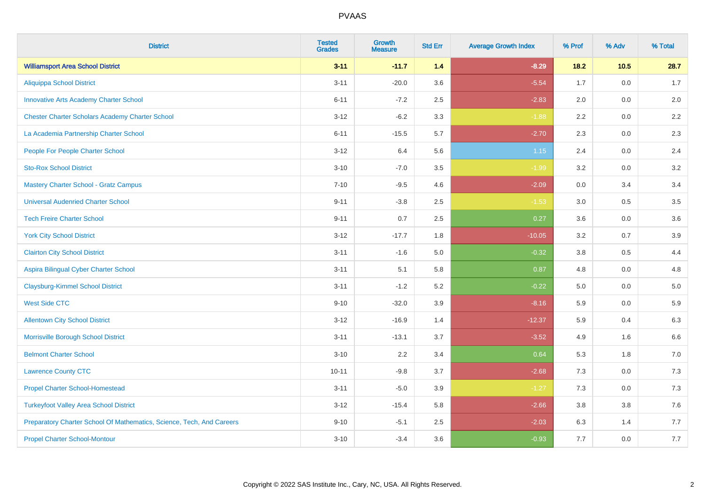| <b>District</b>                                                       | <b>Tested</b><br><b>Grades</b> | Growth<br><b>Measure</b> | <b>Std Err</b> | <b>Average Growth Index</b> | % Prof | % Adv  | % Total |
|-----------------------------------------------------------------------|--------------------------------|--------------------------|----------------|-----------------------------|--------|--------|---------|
| <b>Williamsport Area School District</b>                              | $3 - 11$                       | $-11.7$                  | 1.4            | $-8.29$                     | $18.2$ | $10.5$ | 28.7    |
| <b>Aliquippa School District</b>                                      | $3 - 11$                       | $-20.0$                  | 3.6            | $-5.54$                     | 1.7    | 0.0    | 1.7     |
| <b>Innovative Arts Academy Charter School</b>                         | $6 - 11$                       | $-7.2$                   | 2.5            | $-2.83$                     | 2.0    | 0.0    | 2.0     |
| <b>Chester Charter Scholars Academy Charter School</b>                | $3 - 12$                       | $-6.2$                   | 3.3            | $-1.88$                     | 2.2    | 0.0    | $2.2\,$ |
| La Academia Partnership Charter School                                | $6 - 11$                       | $-15.5$                  | 5.7            | $-2.70$                     | 2.3    | 0.0    | 2.3     |
| People For People Charter School                                      | $3 - 12$                       | 6.4                      | 5.6            | 1.15                        | 2.4    | 0.0    | 2.4     |
| <b>Sto-Rox School District</b>                                        | $3 - 10$                       | $-7.0$                   | $3.5\,$        | $-1.99$                     | 3.2    | 0.0    | $3.2\,$ |
| <b>Mastery Charter School - Gratz Campus</b>                          | $7 - 10$                       | $-9.5$                   | 4.6            | $-2.09$                     | 0.0    | 3.4    | 3.4     |
| <b>Universal Audenried Charter School</b>                             | $9 - 11$                       | $-3.8$                   | 2.5            | $-1.53$                     | 3.0    | 0.5    | $3.5\,$ |
| <b>Tech Freire Charter School</b>                                     | $9 - 11$                       | 0.7                      | $2.5\,$        | 0.27                        | 3.6    | 0.0    | $3.6\,$ |
| <b>York City School District</b>                                      | $3 - 12$                       | $-17.7$                  | 1.8            | $-10.05$                    | 3.2    | 0.7    | 3.9     |
| <b>Clairton City School District</b>                                  | $3 - 11$                       | $-1.6$                   | 5.0            | $-0.32$                     | 3.8    | 0.5    | 4.4     |
| Aspira Bilingual Cyber Charter School                                 | $3 - 11$                       | 5.1                      | 5.8            | 0.87                        | 4.8    | 0.0    | 4.8     |
| <b>Claysburg-Kimmel School District</b>                               | $3 - 11$                       | $-1.2$                   | 5.2            | $-0.22$                     | 5.0    | 0.0    | $5.0\,$ |
| <b>West Side CTC</b>                                                  | $9 - 10$                       | $-32.0$                  | 3.9            | $-8.16$                     | 5.9    | 0.0    | $5.9\,$ |
| <b>Allentown City School District</b>                                 | $3 - 12$                       | $-16.9$                  | 1.4            | $-12.37$                    | 5.9    | 0.4    | 6.3     |
| Morrisville Borough School District                                   | $3 - 11$                       | $-13.1$                  | 3.7            | $-3.52$                     | 4.9    | 1.6    | 6.6     |
| <b>Belmont Charter School</b>                                         | $3 - 10$                       | 2.2                      | 3.4            | 0.64                        | 5.3    | 1.8    | $7.0\,$ |
| <b>Lawrence County CTC</b>                                            | $10 - 11$                      | $-9.8$                   | 3.7            | $-2.68$                     | 7.3    | 0.0    | 7.3     |
| <b>Propel Charter School-Homestead</b>                                | $3 - 11$                       | $-5.0$                   | 3.9            | $-1.27$                     | 7.3    | 0.0    | $7.3$   |
| <b>Turkeyfoot Valley Area School District</b>                         | $3 - 12$                       | $-15.4$                  | 5.8            | $-2.66$                     | 3.8    | 3.8    | $7.6\,$ |
| Preparatory Charter School Of Mathematics, Science, Tech, And Careers | $9 - 10$                       | $-5.1$                   | 2.5            | $-2.03$                     | 6.3    | 1.4    | 7.7     |
| <b>Propel Charter School-Montour</b>                                  | $3 - 10$                       | $-3.4$                   | 3.6            | $-0.93$                     | 7.7    | 0.0    | $7.7$   |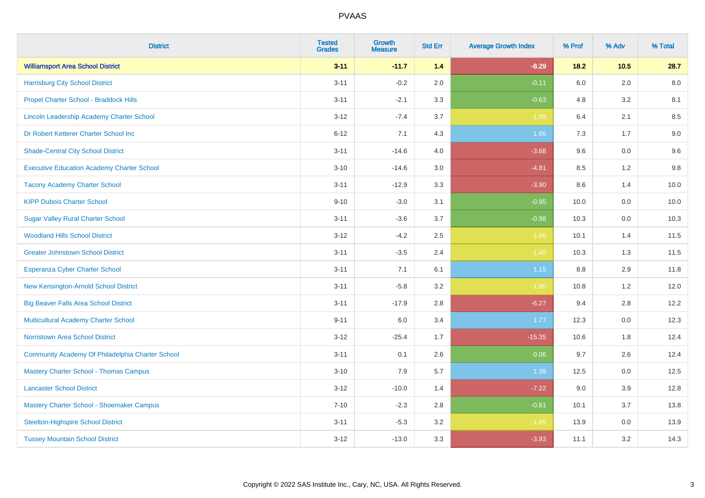| <b>District</b>                                   | <b>Tested</b><br><b>Grades</b> | <b>Growth</b><br><b>Measure</b> | <b>Std Err</b> | <b>Average Growth Index</b> | % Prof | % Adv   | % Total |
|---------------------------------------------------|--------------------------------|---------------------------------|----------------|-----------------------------|--------|---------|---------|
| <b>Williamsport Area School District</b>          | $3 - 11$                       | $-11.7$                         | 1.4            | $-8.29$                     | $18.2$ | 10.5    | 28.7    |
| <b>Harrisburg City School District</b>            | $3 - 11$                       | $-0.2$                          | 2.0            | $-0.11$                     | 6.0    | 2.0     | 8.0     |
| Propel Charter School - Braddock Hills            | $3 - 11$                       | $-2.1$                          | 3.3            | $-0.63$                     | 4.8    | 3.2     | 8.1     |
| Lincoln Leadership Academy Charter School         | $3 - 12$                       | $-7.4$                          | 3.7            | $-1.99$                     | 6.4    | 2.1     | 8.5     |
| Dr Robert Ketterer Charter School Inc             | $6 - 12$                       | 7.1                             | 4.3            | 1.66                        | 7.3    | 1.7     | 9.0     |
| <b>Shade-Central City School District</b>         | $3 - 11$                       | $-14.6$                         | 4.0            | $-3.68$                     | 9.6    | 0.0     | 9.6     |
| <b>Executive Education Academy Charter School</b> | $3 - 10$                       | $-14.6$                         | 3.0            | $-4.81$                     | 8.5    | 1.2     | 9.8     |
| <b>Tacony Academy Charter School</b>              | $3 - 11$                       | $-12.9$                         | 3.3            | $-3.90$                     | 8.6    | 1.4     | 10.0    |
| <b>KIPP Dubois Charter School</b>                 | $9 - 10$                       | $-3.0$                          | 3.1            | $-0.95$                     | 10.0   | 0.0     | 10.0    |
| <b>Sugar Valley Rural Charter School</b>          | $3 - 11$                       | $-3.6$                          | 3.7            | $-0.98$                     | 10.3   | 0.0     | 10.3    |
| <b>Woodland Hills School District</b>             | $3 - 12$                       | $-4.2$                          | 2.5            | $-1.66$                     | 10.1   | 1.4     | 11.5    |
| <b>Greater Johnstown School District</b>          | $3 - 11$                       | $-3.5$                          | 2.4            | $-1.45$                     | 10.3   | 1.3     | 11.5    |
| Esperanza Cyber Charter School                    | $3 - 11$                       | 7.1                             | 6.1            | $1.15$                      | 8.8    | 2.9     | 11.8    |
| New Kensington-Arnold School District             | $3 - 11$                       | $-5.8$                          | 3.2            | $-1.80$                     | 10.8   | 1.2     | 12.0    |
| <b>Big Beaver Falls Area School District</b>      | $3 - 11$                       | $-17.9$                         | 2.8            | $-6.27$                     | 9.4    | 2.8     | 12.2    |
| <b>Multicultural Academy Charter School</b>       | $9 - 11$                       | 6.0                             | 3.4            | 1.77                        | 12.3   | $0.0\,$ | 12.3    |
| <b>Norristown Area School District</b>            | $3 - 12$                       | $-25.4$                         | 1.7            | $-15.35$                    | 10.6   | 1.8     | 12.4    |
| Community Academy Of Philadelphia Charter School  | $3 - 11$                       | 0.1                             | 2.6            | 0.06                        | 9.7    | 2.6     | 12.4    |
| <b>Mastery Charter School - Thomas Campus</b>     | $3 - 10$                       | 7.9                             | 5.7            | 1.39                        | 12.5   | 0.0     | 12.5    |
| <b>Lancaster School District</b>                  | $3 - 12$                       | $-10.0$                         | 1.4            | $-7.22$                     | 9.0    | 3.9     | 12.8    |
| Mastery Charter School - Shoemaker Campus         | $7 - 10$                       | $-2.3$                          | 2.8            | $-0.81$                     | 10.1   | 3.7     | 13.8    |
| <b>Steelton-Highspire School District</b>         | $3 - 11$                       | $-5.3$                          | 3.2            | $-1.65$                     | 13.9   | $0.0\,$ | 13.9    |
| <b>Tussey Mountain School District</b>            | $3 - 12$                       | $-13.0$                         | 3.3            | $-3.93$                     | 11.1   | 3.2     | 14.3    |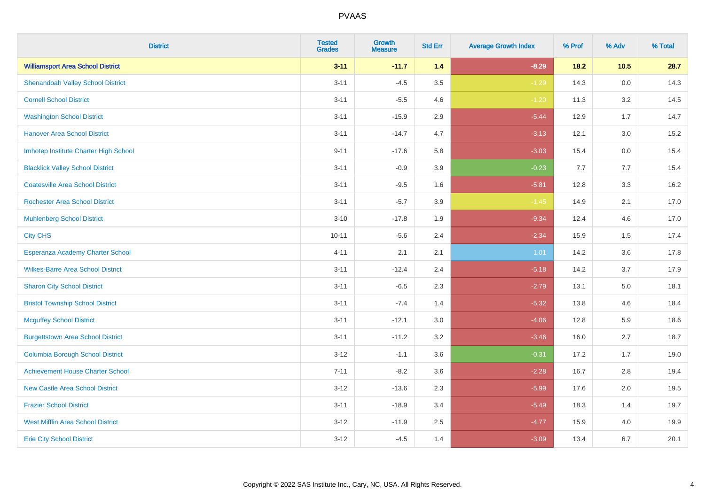| <b>District</b>                          | <b>Tested</b><br><b>Grades</b> | Growth<br><b>Measure</b> | <b>Std Err</b> | <b>Average Growth Index</b> | % Prof | % Adv   | % Total |
|------------------------------------------|--------------------------------|--------------------------|----------------|-----------------------------|--------|---------|---------|
| <b>Williamsport Area School District</b> | $3 - 11$                       | $-11.7$                  | 1.4            | $-8.29$                     | $18.2$ | $10.5$  | 28.7    |
| <b>Shenandoah Valley School District</b> | $3 - 11$                       | $-4.5$                   | 3.5            | $-1.29$                     | 14.3   | $0.0\,$ | 14.3    |
| <b>Cornell School District</b>           | $3 - 11$                       | $-5.5$                   | 4.6            | $-1.20$                     | 11.3   | 3.2     | 14.5    |
| <b>Washington School District</b>        | $3 - 11$                       | $-15.9$                  | 2.9            | $-5.44$                     | 12.9   | 1.7     | 14.7    |
| <b>Hanover Area School District</b>      | $3 - 11$                       | $-14.7$                  | 4.7            | $-3.13$                     | 12.1   | 3.0     | 15.2    |
| Imhotep Institute Charter High School    | $9 - 11$                       | $-17.6$                  | 5.8            | $-3.03$                     | 15.4   | 0.0     | 15.4    |
| <b>Blacklick Valley School District</b>  | $3 - 11$                       | $-0.9$                   | 3.9            | $-0.23$                     | 7.7    | 7.7     | 15.4    |
| <b>Coatesville Area School District</b>  | $3 - 11$                       | $-9.5$                   | 1.6            | $-5.81$                     | 12.8   | 3.3     | 16.2    |
| <b>Rochester Area School District</b>    | $3 - 11$                       | $-5.7$                   | 3.9            | $-1.45$                     | 14.9   | 2.1     | 17.0    |
| <b>Muhlenberg School District</b>        | $3 - 10$                       | $-17.8$                  | 1.9            | $-9.34$                     | 12.4   | 4.6     | 17.0    |
| <b>City CHS</b>                          | $10 - 11$                      | $-5.6$                   | 2.4            | $-2.34$                     | 15.9   | 1.5     | 17.4    |
| Esperanza Academy Charter School         | $4 - 11$                       | 2.1                      | 2.1            | 1.01                        | 14.2   | 3.6     | 17.8    |
| <b>Wilkes-Barre Area School District</b> | $3 - 11$                       | $-12.4$                  | 2.4            | $-5.18$                     | 14.2   | 3.7     | 17.9    |
| <b>Sharon City School District</b>       | $3 - 11$                       | $-6.5$                   | 2.3            | $-2.79$                     | 13.1   | $5.0\,$ | 18.1    |
| <b>Bristol Township School District</b>  | $3 - 11$                       | $-7.4$                   | 1.4            | $-5.32$                     | 13.8   | 4.6     | 18.4    |
| <b>Mcguffey School District</b>          | $3 - 11$                       | $-12.1$                  | 3.0            | $-4.06$                     | 12.8   | 5.9     | 18.6    |
| <b>Burgettstown Area School District</b> | $3 - 11$                       | $-11.2$                  | 3.2            | $-3.46$                     | 16.0   | 2.7     | 18.7    |
| <b>Columbia Borough School District</b>  | $3 - 12$                       | $-1.1$                   | 3.6            | $-0.31$                     | 17.2   | 1.7     | 19.0    |
| <b>Achievement House Charter School</b>  | $7 - 11$                       | $-8.2$                   | 3.6            | $-2.28$                     | 16.7   | 2.8     | 19.4    |
| New Castle Area School District          | $3 - 12$                       | $-13.6$                  | 2.3            | $-5.99$                     | 17.6   | 2.0     | 19.5    |
| <b>Frazier School District</b>           | $3 - 11$                       | $-18.9$                  | 3.4            | $-5.49$                     | 18.3   | 1.4     | 19.7    |
| <b>West Mifflin Area School District</b> | $3 - 12$                       | $-11.9$                  | 2.5            | $-4.77$                     | 15.9   | 4.0     | 19.9    |
| <b>Erie City School District</b>         | $3 - 12$                       | $-4.5$                   | 1.4            | $-3.09$                     | 13.4   | 6.7     | 20.1    |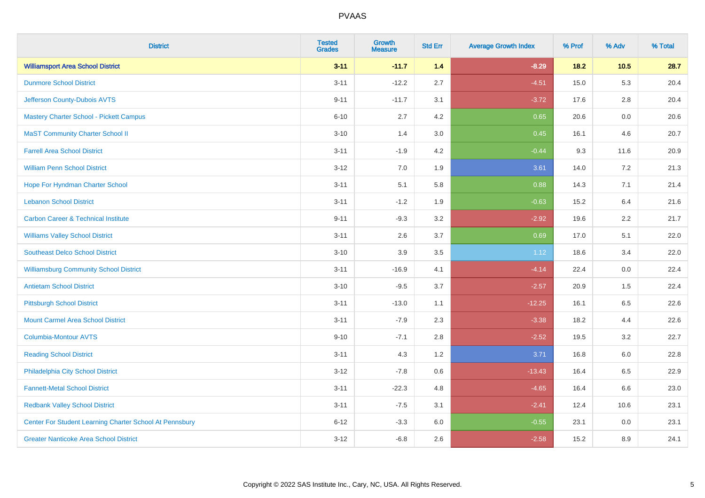| <b>District</b>                                         | <b>Tested</b><br><b>Grades</b> | Growth<br><b>Measure</b> | <b>Std Err</b> | <b>Average Growth Index</b> | % Prof | % Adv   | % Total |
|---------------------------------------------------------|--------------------------------|--------------------------|----------------|-----------------------------|--------|---------|---------|
| <b>Williamsport Area School District</b>                | $3 - 11$                       | $-11.7$                  | 1.4            | $-8.29$                     | $18.2$ | $10.5$  | 28.7    |
| <b>Dunmore School District</b>                          | $3 - 11$                       | $-12.2$                  | 2.7            | $-4.51$                     | 15.0   | 5.3     | 20.4    |
| Jefferson County-Dubois AVTS                            | $9 - 11$                       | $-11.7$                  | 3.1            | $-3.72$                     | 17.6   | 2.8     | 20.4    |
| Mastery Charter School - Pickett Campus                 | $6 - 10$                       | 2.7                      | 4.2            | 0.65                        | 20.6   | $0.0\,$ | 20.6    |
| <b>MaST Community Charter School II</b>                 | $3 - 10$                       | 1.4                      | 3.0            | 0.45                        | 16.1   | 4.6     | 20.7    |
| <b>Farrell Area School District</b>                     | $3 - 11$                       | $-1.9$                   | 4.2            | $-0.44$                     | 9.3    | 11.6    | 20.9    |
| <b>William Penn School District</b>                     | $3 - 12$                       | 7.0                      | 1.9            | 3.61                        | 14.0   | 7.2     | 21.3    |
| Hope For Hyndman Charter School                         | $3 - 11$                       | 5.1                      | 5.8            | 0.88                        | 14.3   | 7.1     | 21.4    |
| <b>Lebanon School District</b>                          | $3 - 11$                       | $-1.2$                   | 1.9            | $-0.63$                     | 15.2   | 6.4     | 21.6    |
| <b>Carbon Career &amp; Technical Institute</b>          | $9 - 11$                       | $-9.3$                   | 3.2            | $-2.92$                     | 19.6   | 2.2     | 21.7    |
| <b>Williams Valley School District</b>                  | $3 - 11$                       | 2.6                      | 3.7            | 0.69                        | 17.0   | 5.1     | 22.0    |
| <b>Southeast Delco School District</b>                  | $3 - 10$                       | 3.9                      | 3.5            | 1.12                        | 18.6   | 3.4     | 22.0    |
| <b>Williamsburg Community School District</b>           | $3 - 11$                       | $-16.9$                  | 4.1            | $-4.14$                     | 22.4   | 0.0     | 22.4    |
| <b>Antietam School District</b>                         | $3 - 10$                       | $-9.5$                   | 3.7            | $-2.57$                     | 20.9   | 1.5     | 22.4    |
| <b>Pittsburgh School District</b>                       | $3 - 11$                       | $-13.0$                  | 1.1            | $-12.25$                    | 16.1   | 6.5     | 22.6    |
| <b>Mount Carmel Area School District</b>                | $3 - 11$                       | $-7.9$                   | 2.3            | $-3.38$                     | 18.2   | 4.4     | 22.6    |
| Columbia-Montour AVTS                                   | $9 - 10$                       | $-7.1$                   | 2.8            | $-2.52$                     | 19.5   | 3.2     | 22.7    |
| <b>Reading School District</b>                          | $3 - 11$                       | 4.3                      | 1.2            | 3.71                        | 16.8   | 6.0     | 22.8    |
| Philadelphia City School District                       | $3 - 12$                       | $-7.8$                   | 0.6            | $-13.43$                    | 16.4   | 6.5     | 22.9    |
| <b>Fannett-Metal School District</b>                    | $3 - 11$                       | $-22.3$                  | 4.8            | $-4.65$                     | 16.4   | 6.6     | 23.0    |
| <b>Redbank Valley School District</b>                   | $3 - 11$                       | $-7.5$                   | 3.1            | $-2.41$                     | 12.4   | 10.6    | 23.1    |
| Center For Student Learning Charter School At Pennsbury | $6 - 12$                       | $-3.3$                   | 6.0            | $-0.55$                     | 23.1   | 0.0     | 23.1    |
| <b>Greater Nanticoke Area School District</b>           | $3 - 12$                       | $-6.8$                   | 2.6            | $-2.58$                     | 15.2   | 8.9     | 24.1    |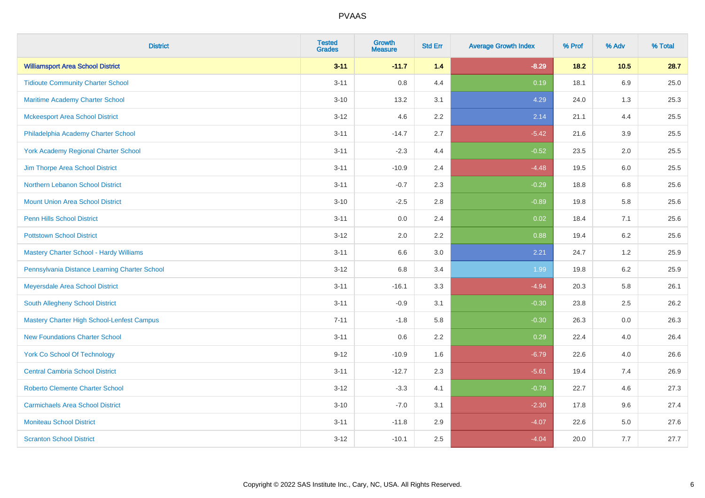| <b>District</b>                                   | <b>Tested</b><br><b>Grades</b> | <b>Growth</b><br><b>Measure</b> | <b>Std Err</b> | <b>Average Growth Index</b> | % Prof | % Adv   | % Total |
|---------------------------------------------------|--------------------------------|---------------------------------|----------------|-----------------------------|--------|---------|---------|
| <b>Williamsport Area School District</b>          | $3 - 11$                       | $-11.7$                         | 1.4            | $-8.29$                     | $18.2$ | 10.5    | 28.7    |
| <b>Tidioute Community Charter School</b>          | $3 - 11$                       | 0.8                             | 4.4            | 0.19                        | 18.1   | 6.9     | 25.0    |
| Maritime Academy Charter School                   | $3 - 10$                       | 13.2                            | 3.1            | 4.29                        | 24.0   | 1.3     | 25.3    |
| <b>Mckeesport Area School District</b>            | $3 - 12$                       | 4.6                             | 2.2            | 2.14                        | 21.1   | 4.4     | 25.5    |
| Philadelphia Academy Charter School               | $3 - 11$                       | $-14.7$                         | 2.7            | $-5.42$                     | 21.6   | 3.9     | 25.5    |
| <b>York Academy Regional Charter School</b>       | $3 - 11$                       | $-2.3$                          | 4.4            | $-0.52$                     | 23.5   | 2.0     | 25.5    |
| Jim Thorpe Area School District                   | $3 - 11$                       | $-10.9$                         | 2.4            | $-4.48$                     | 19.5   | 6.0     | 25.5    |
| Northern Lebanon School District                  | $3 - 11$                       | $-0.7$                          | 2.3            | $-0.29$                     | 18.8   | 6.8     | 25.6    |
| <b>Mount Union Area School District</b>           | $3 - 10$                       | $-2.5$                          | 2.8            | $-0.89$                     | 19.8   | 5.8     | 25.6    |
| <b>Penn Hills School District</b>                 | $3 - 11$                       | 0.0                             | 2.4            | 0.02                        | 18.4   | 7.1     | 25.6    |
| <b>Pottstown School District</b>                  | $3 - 12$                       | 2.0                             | 2.2            | 0.88                        | 19.4   | 6.2     | 25.6    |
| Mastery Charter School - Hardy Williams           | $3 - 11$                       | 6.6                             | 3.0            | 2.21                        | 24.7   | 1.2     | 25.9    |
| Pennsylvania Distance Learning Charter School     | $3 - 12$                       | $6.8\,$                         | 3.4            | 1.99                        | 19.8   | $6.2\,$ | 25.9    |
| Meyersdale Area School District                   | $3 - 11$                       | $-16.1$                         | 3.3            | $-4.94$                     | 20.3   | 5.8     | 26.1    |
| South Allegheny School District                   | $3 - 11$                       | $-0.9$                          | 3.1            | $-0.30$                     | 23.8   | 2.5     | 26.2    |
| <b>Mastery Charter High School-Lenfest Campus</b> | $7 - 11$                       | $-1.8$                          | 5.8            | $-0.30$                     | 26.3   | $0.0\,$ | 26.3    |
| <b>New Foundations Charter School</b>             | $3 - 11$                       | 0.6                             | 2.2            | 0.29                        | 22.4   | 4.0     | 26.4    |
| <b>York Co School Of Technology</b>               | $9 - 12$                       | $-10.9$                         | 1.6            | $-6.79$                     | 22.6   | 4.0     | 26.6    |
| <b>Central Cambria School District</b>            | $3 - 11$                       | $-12.7$                         | 2.3            | $-5.61$                     | 19.4   | 7.4     | 26.9    |
| <b>Roberto Clemente Charter School</b>            | $3 - 12$                       | $-3.3$                          | 4.1            | $-0.79$                     | 22.7   | 4.6     | 27.3    |
| <b>Carmichaels Area School District</b>           | $3 - 10$                       | $-7.0$                          | 3.1            | $-2.30$                     | 17.8   | 9.6     | 27.4    |
| <b>Moniteau School District</b>                   | $3 - 11$                       | $-11.8$                         | 2.9            | $-4.07$                     | 22.6   | 5.0     | 27.6    |
| <b>Scranton School District</b>                   | $3 - 12$                       | $-10.1$                         | 2.5            | $-4.04$                     | 20.0   | 7.7     | 27.7    |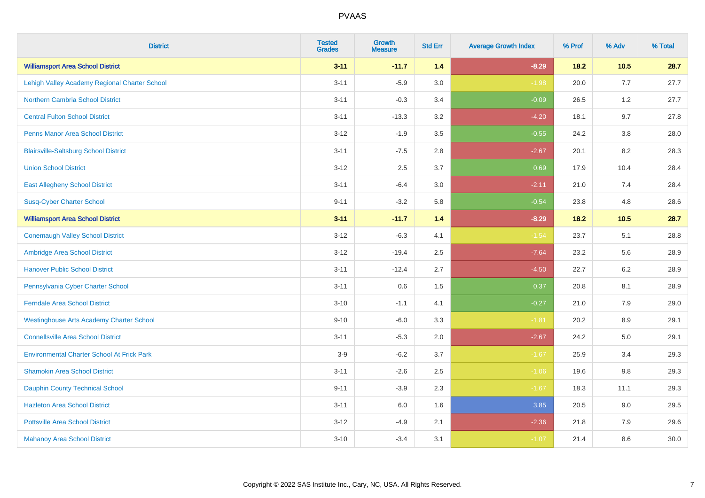| <b>District</b>                                   | <b>Tested</b><br><b>Grades</b> | <b>Growth</b><br><b>Measure</b> | <b>Std Err</b> | <b>Average Growth Index</b> | % Prof | % Adv   | % Total |
|---------------------------------------------------|--------------------------------|---------------------------------|----------------|-----------------------------|--------|---------|---------|
| <b>Williamsport Area School District</b>          | $3 - 11$                       | $-11.7$                         | 1.4            | $-8.29$                     | $18.2$ | 10.5    | 28.7    |
| Lehigh Valley Academy Regional Charter School     | $3 - 11$                       | $-5.9$                          | 3.0            | $-1.98$                     | 20.0   | 7.7     | 27.7    |
| <b>Northern Cambria School District</b>           | $3 - 11$                       | $-0.3$                          | 3.4            | $-0.09$                     | 26.5   | 1.2     | 27.7    |
| <b>Central Fulton School District</b>             | $3 - 11$                       | $-13.3$                         | 3.2            | $-4.20$                     | 18.1   | 9.7     | 27.8    |
| <b>Penns Manor Area School District</b>           | $3 - 12$                       | $-1.9$                          | 3.5            | $-0.55$                     | 24.2   | 3.8     | 28.0    |
| <b>Blairsville-Saltsburg School District</b>      | $3 - 11$                       | $-7.5$                          | 2.8            | $-2.67$                     | 20.1   | 8.2     | 28.3    |
| <b>Union School District</b>                      | $3 - 12$                       | 2.5                             | 3.7            | 0.69                        | 17.9   | 10.4    | 28.4    |
| <b>East Allegheny School District</b>             | $3 - 11$                       | $-6.4$                          | 3.0            | $-2.11$                     | 21.0   | 7.4     | 28.4    |
| <b>Susq-Cyber Charter School</b>                  | $9 - 11$                       | $-3.2$                          | 5.8            | $-0.54$                     | 23.8   | 4.8     | 28.6    |
| <b>Williamsport Area School District</b>          | $3 - 11$                       | $-11.7$                         | 1.4            | $-8.29$                     | 18.2   | 10.5    | 28.7    |
| <b>Conemaugh Valley School District</b>           | $3 - 12$                       | $-6.3$                          | 4.1            | $-1.54$                     | 23.7   | 5.1     | 28.8    |
| Ambridge Area School District                     | $3 - 12$                       | $-19.4$                         | 2.5            | $-7.64$                     | 23.2   | 5.6     | 28.9    |
| <b>Hanover Public School District</b>             | $3 - 11$                       | $-12.4$                         | 2.7            | $-4.50$                     | 22.7   | $6.2\,$ | 28.9    |
| Pennsylvania Cyber Charter School                 | $3 - 11$                       | 0.6                             | 1.5            | 0.37                        | 20.8   | 8.1     | 28.9    |
| <b>Ferndale Area School District</b>              | $3 - 10$                       | $-1.1$                          | 4.1            | $-0.27$                     | 21.0   | 7.9     | 29.0    |
| <b>Westinghouse Arts Academy Charter School</b>   | $9 - 10$                       | $-6.0$                          | 3.3            | $-1.81$                     | 20.2   | $8.9\,$ | 29.1    |
| <b>Connellsville Area School District</b>         | $3 - 11$                       | $-5.3$                          | 2.0            | $-2.67$                     | 24.2   | 5.0     | 29.1    |
| <b>Environmental Charter School At Frick Park</b> | $3-9$                          | $-6.2$                          | 3.7            | $-1.67$                     | 25.9   | 3.4     | 29.3    |
| <b>Shamokin Area School District</b>              | $3 - 11$                       | $-2.6$                          | 2.5            | $-1.06$                     | 19.6   | $9.8\,$ | 29.3    |
| <b>Dauphin County Technical School</b>            | $9 - 11$                       | $-3.9$                          | 2.3            | $-1.67$                     | 18.3   | 11.1    | 29.3    |
| <b>Hazleton Area School District</b>              | $3 - 11$                       | 6.0                             | 1.6            | 3.85                        | 20.5   | 9.0     | 29.5    |
| <b>Pottsville Area School District</b>            | $3 - 12$                       | $-4.9$                          | 2.1            | $-2.36$                     | 21.8   | 7.9     | 29.6    |
| <b>Mahanoy Area School District</b>               | $3 - 10$                       | $-3.4$                          | 3.1            | $-1.07$                     | 21.4   | 8.6     | 30.0    |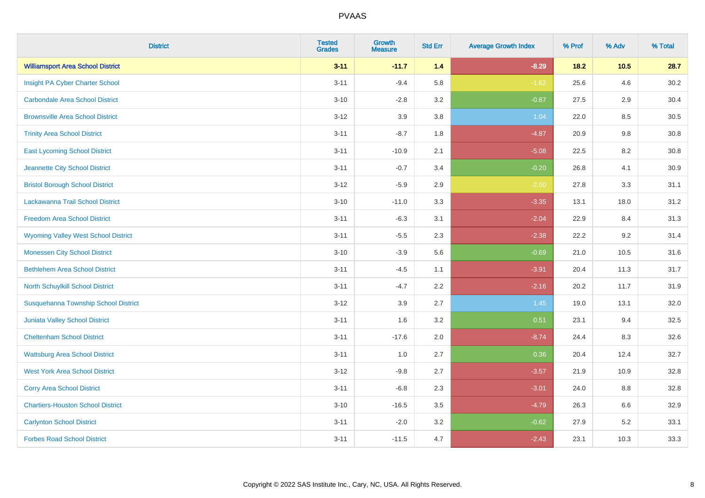| <b>District</b>                            | <b>Tested</b><br><b>Grades</b> | <b>Growth</b><br><b>Measure</b> | <b>Std Err</b> | <b>Average Growth Index</b> | % Prof | % Adv | % Total |
|--------------------------------------------|--------------------------------|---------------------------------|----------------|-----------------------------|--------|-------|---------|
| <b>Williamsport Area School District</b>   | $3 - 11$                       | $-11.7$                         | 1.4            | $-8.29$                     | $18.2$ | 10.5  | 28.7    |
| Insight PA Cyber Charter School            | $3 - 11$                       | $-9.4$                          | 5.8            | $-1.62$                     | 25.6   | 4.6   | 30.2    |
| <b>Carbondale Area School District</b>     | $3 - 10$                       | $-2.8$                          | 3.2            | $-0.87$                     | 27.5   | 2.9   | 30.4    |
| <b>Brownsville Area School District</b>    | $3 - 12$                       | 3.9                             | 3.8            | 1.04                        | 22.0   | 8.5   | 30.5    |
| <b>Trinity Area School District</b>        | $3 - 11$                       | $-8.7$                          | 1.8            | $-4.87$                     | 20.9   | 9.8   | 30.8    |
| <b>East Lycoming School District</b>       | $3 - 11$                       | $-10.9$                         | 2.1            | $-5.08$                     | 22.5   | 8.2   | 30.8    |
| Jeannette City School District             | $3 - 11$                       | $-0.7$                          | 3.4            | $-0.20$                     | 26.8   | 4.1   | 30.9    |
| <b>Bristol Borough School District</b>     | $3 - 12$                       | $-5.9$                          | 2.9            | $-2.00$                     | 27.8   | 3.3   | 31.1    |
| Lackawanna Trail School District           | $3 - 10$                       | $-11.0$                         | 3.3            | $-3.35$                     | 13.1   | 18.0  | 31.2    |
| <b>Freedom Area School District</b>        | $3 - 11$                       | $-6.3$                          | 3.1            | $-2.04$                     | 22.9   | 8.4   | 31.3    |
| <b>Wyoming Valley West School District</b> | $3 - 11$                       | $-5.5$                          | 2.3            | $-2.38$                     | 22.2   | 9.2   | 31.4    |
| <b>Monessen City School District</b>       | $3 - 10$                       | $-3.9$                          | 5.6            | $-0.69$                     | 21.0   | 10.5  | 31.6    |
| <b>Bethlehem Area School District</b>      | $3 - 11$                       | $-4.5$                          | 1.1            | $-3.91$                     | 20.4   | 11.3  | 31.7    |
| North Schuylkill School District           | $3 - 11$                       | $-4.7$                          | 2.2            | $-2.16$                     | 20.2   | 11.7  | 31.9    |
| Susquehanna Township School District       | $3 - 12$                       | 3.9                             | 2.7            | 1.45                        | 19.0   | 13.1  | 32.0    |
| Juniata Valley School District             | $3 - 11$                       | 1.6                             | 3.2            | 0.51                        | 23.1   | 9.4   | 32.5    |
| <b>Cheltenham School District</b>          | $3 - 11$                       | $-17.6$                         | 2.0            | $-8.74$                     | 24.4   | 8.3   | 32.6    |
| <b>Wattsburg Area School District</b>      | $3 - 11$                       | 1.0                             | 2.7            | 0.36                        | 20.4   | 12.4  | 32.7    |
| <b>West York Area School District</b>      | $3 - 12$                       | $-9.8$                          | 2.7            | $-3.57$                     | 21.9   | 10.9  | 32.8    |
| <b>Corry Area School District</b>          | $3 - 11$                       | $-6.8$                          | 2.3            | $-3.01$                     | 24.0   | 8.8   | 32.8    |
| <b>Chartiers-Houston School District</b>   | $3 - 10$                       | $-16.5$                         | 3.5            | $-4.79$                     | 26.3   | 6.6   | 32.9    |
| <b>Carlynton School District</b>           | $3 - 11$                       | $-2.0$                          | 3.2            | $-0.62$                     | 27.9   | 5.2   | 33.1    |
| <b>Forbes Road School District</b>         | $3 - 11$                       | $-11.5$                         | 4.7            | $-2.43$                     | 23.1   | 10.3  | 33.3    |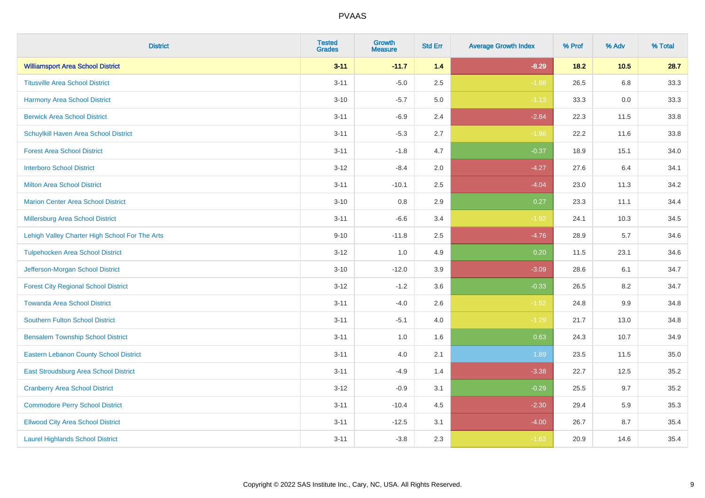| <b>District</b>                                | <b>Tested</b><br><b>Grades</b> | Growth<br><b>Measure</b> | <b>Std Err</b> | <b>Average Growth Index</b> | % Prof | % Adv  | % Total |
|------------------------------------------------|--------------------------------|--------------------------|----------------|-----------------------------|--------|--------|---------|
| <b>Williamsport Area School District</b>       | $3 - 11$                       | $-11.7$                  | $1.4$          | $-8.29$                     | $18.2$ | $10.5$ | 28.7    |
| <b>Titusville Area School District</b>         | $3 - 11$                       | $-5.0$                   | 2.5            | $-1.98$                     | 26.5   | 6.8    | 33.3    |
| <b>Harmony Area School District</b>            | $3 - 10$                       | $-5.7$                   | 5.0            | $-1.13$                     | 33.3   | 0.0    | 33.3    |
| <b>Berwick Area School District</b>            | $3 - 11$                       | $-6.9$                   | 2.4            | $-2.84$                     | 22.3   | 11.5   | 33.8    |
| Schuylkill Haven Area School District          | $3 - 11$                       | $-5.3$                   | 2.7            | $-1.96$                     | 22.2   | 11.6   | 33.8    |
| <b>Forest Area School District</b>             | $3 - 11$                       | $-1.8$                   | 4.7            | $-0.37$                     | 18.9   | 15.1   | 34.0    |
| <b>Interboro School District</b>               | $3 - 12$                       | $-8.4$                   | 2.0            | $-4.27$                     | 27.6   | 6.4    | 34.1    |
| <b>Milton Area School District</b>             | $3 - 11$                       | $-10.1$                  | 2.5            | $-4.04$                     | 23.0   | 11.3   | 34.2    |
| <b>Marion Center Area School District</b>      | $3 - 10$                       | 0.8                      | 2.9            | 0.27                        | 23.3   | 11.1   | 34.4    |
| Millersburg Area School District               | $3 - 11$                       | $-6.6$                   | 3.4            | $-1.92$                     | 24.1   | 10.3   | 34.5    |
| Lehigh Valley Charter High School For The Arts | $9 - 10$                       | $-11.8$                  | 2.5            | $-4.76$                     | 28.9   | 5.7    | 34.6    |
| <b>Tulpehocken Area School District</b>        | $3 - 12$                       | 1.0                      | 4.9            | 0.20                        | 11.5   | 23.1   | 34.6    |
| Jefferson-Morgan School District               | $3 - 10$                       | $-12.0$                  | 3.9            | $-3.09$                     | 28.6   | 6.1    | 34.7    |
| <b>Forest City Regional School District</b>    | $3 - 12$                       | $-1.2$                   | 3.6            | $-0.33$                     | 26.5   | 8.2    | 34.7    |
| <b>Towanda Area School District</b>            | $3 - 11$                       | $-4.0$                   | 2.6            | $-1.52$                     | 24.8   | 9.9    | 34.8    |
| <b>Southern Fulton School District</b>         | $3 - 11$                       | $-5.1$                   | 4.0            | $-1.29$                     | 21.7   | 13.0   | 34.8    |
| <b>Bensalem Township School District</b>       | $3 - 11$                       | 1.0                      | 1.6            | 0.63                        | 24.3   | 10.7   | 34.9    |
| <b>Eastern Lebanon County School District</b>  | $3 - 11$                       | 4.0                      | 2.1            | 1.89                        | 23.5   | 11.5   | 35.0    |
| East Stroudsburg Area School District          | $3 - 11$                       | $-4.9$                   | 1.4            | $-3.38$                     | 22.7   | 12.5   | 35.2    |
| <b>Cranberry Area School District</b>          | $3 - 12$                       | $-0.9$                   | 3.1            | $-0.29$                     | 25.5   | 9.7    | 35.2    |
| <b>Commodore Perry School District</b>         | $3 - 11$                       | $-10.4$                  | 4.5            | $-2.30$                     | 29.4   | 5.9    | 35.3    |
| <b>Ellwood City Area School District</b>       | $3 - 11$                       | $-12.5$                  | 3.1            | $-4.00$                     | 26.7   | 8.7    | 35.4    |
| <b>Laurel Highlands School District</b>        | $3 - 11$                       | $-3.8$                   | 2.3            | $-1.63$                     | 20.9   | 14.6   | 35.4    |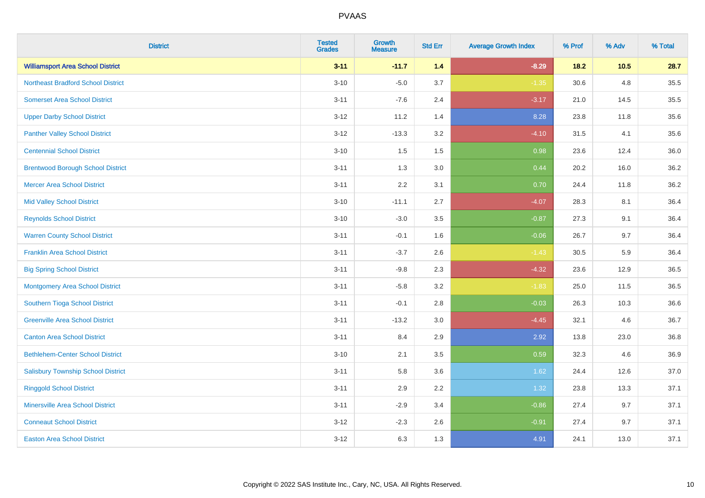| <b>District</b>                           | <b>Tested</b><br><b>Grades</b> | <b>Growth</b><br><b>Measure</b> | <b>Std Err</b> | <b>Average Growth Index</b> | % Prof | % Adv | % Total |
|-------------------------------------------|--------------------------------|---------------------------------|----------------|-----------------------------|--------|-------|---------|
| <b>Williamsport Area School District</b>  | $3 - 11$                       | $-11.7$                         | 1.4            | $-8.29$                     | $18.2$ | 10.5  | 28.7    |
| <b>Northeast Bradford School District</b> | $3 - 10$                       | $-5.0$                          | 3.7            | $-1.35$                     | 30.6   | 4.8   | 35.5    |
| <b>Somerset Area School District</b>      | $3 - 11$                       | $-7.6$                          | 2.4            | $-3.17$                     | 21.0   | 14.5  | 35.5    |
| <b>Upper Darby School District</b>        | $3 - 12$                       | 11.2                            | 1.4            | 8.28                        | 23.8   | 11.8  | 35.6    |
| <b>Panther Valley School District</b>     | $3 - 12$                       | $-13.3$                         | 3.2            | $-4.10$                     | 31.5   | 4.1   | 35.6    |
| <b>Centennial School District</b>         | $3 - 10$                       | 1.5                             | 1.5            | 0.98                        | 23.6   | 12.4  | 36.0    |
| <b>Brentwood Borough School District</b>  | $3 - 11$                       | 1.3                             | 3.0            | 0.44                        | 20.2   | 16.0  | 36.2    |
| <b>Mercer Area School District</b>        | $3 - 11$                       | 2.2                             | 3.1            | 0.70                        | 24.4   | 11.8  | 36.2    |
| <b>Mid Valley School District</b>         | $3 - 10$                       | $-11.1$                         | 2.7            | $-4.07$                     | 28.3   | 8.1   | 36.4    |
| <b>Reynolds School District</b>           | $3 - 10$                       | $-3.0$                          | 3.5            | $-0.87$                     | 27.3   | 9.1   | 36.4    |
| <b>Warren County School District</b>      | $3 - 11$                       | $-0.1$                          | 1.6            | $-0.06$                     | 26.7   | 9.7   | 36.4    |
| <b>Franklin Area School District</b>      | $3 - 11$                       | $-3.7$                          | 2.6            | $-1.43$                     | 30.5   | 5.9   | 36.4    |
| <b>Big Spring School District</b>         | $3 - 11$                       | $-9.8$                          | 2.3            | $-4.32$                     | 23.6   | 12.9  | 36.5    |
| <b>Montgomery Area School District</b>    | $3 - 11$                       | $-5.8$                          | 3.2            | $-1.83$                     | 25.0   | 11.5  | 36.5    |
| Southern Tioga School District            | $3 - 11$                       | $-0.1$                          | 2.8            | $-0.03$                     | 26.3   | 10.3  | 36.6    |
| <b>Greenville Area School District</b>    | $3 - 11$                       | $-13.2$                         | 3.0            | $-4.45$                     | 32.1   | 4.6   | 36.7    |
| <b>Canton Area School District</b>        | $3 - 11$                       | 8.4                             | 2.9            | 2.92                        | 13.8   | 23.0  | 36.8    |
| <b>Bethlehem-Center School District</b>   | $3 - 10$                       | 2.1                             | 3.5            | 0.59                        | 32.3   | 4.6   | 36.9    |
| <b>Salisbury Township School District</b> | $3 - 11$                       | 5.8                             | 3.6            | 1.62                        | 24.4   | 12.6  | 37.0    |
| <b>Ringgold School District</b>           | $3 - 11$                       | 2.9                             | 2.2            | 1.32                        | 23.8   | 13.3  | 37.1    |
| <b>Minersville Area School District</b>   | $3 - 11$                       | $-2.9$                          | 3.4            | $-0.86$                     | 27.4   | 9.7   | 37.1    |
| <b>Conneaut School District</b>           | $3 - 12$                       | $-2.3$                          | 2.6            | $-0.91$                     | 27.4   | 9.7   | 37.1    |
| <b>Easton Area School District</b>        | $3 - 12$                       | 6.3                             | 1.3            | 4.91                        | 24.1   | 13.0  | 37.1    |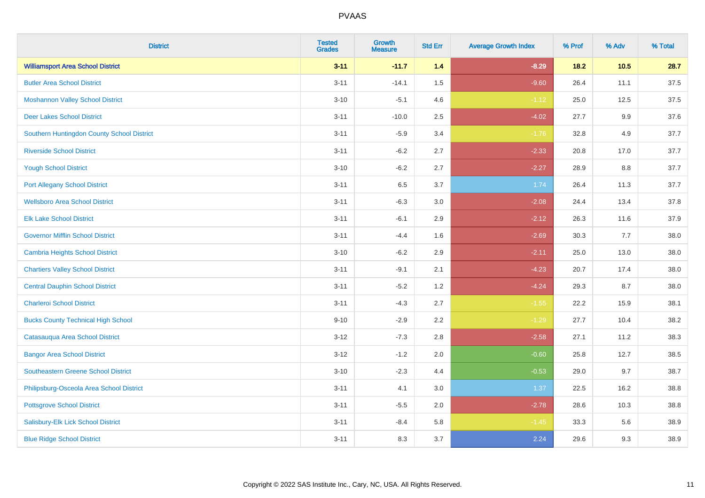| <b>District</b>                            | <b>Tested</b><br><b>Grades</b> | <b>Growth</b><br><b>Measure</b> | <b>Std Err</b> | <b>Average Growth Index</b> | % Prof | % Adv  | % Total |
|--------------------------------------------|--------------------------------|---------------------------------|----------------|-----------------------------|--------|--------|---------|
| <b>Williamsport Area School District</b>   | $3 - 11$                       | $-11.7$                         | 1.4            | $-8.29$                     | $18.2$ | $10.5$ | 28.7    |
| <b>Butler Area School District</b>         | $3 - 11$                       | $-14.1$                         | 1.5            | $-9.60$                     | 26.4   | 11.1   | 37.5    |
| <b>Moshannon Valley School District</b>    | $3 - 10$                       | $-5.1$                          | 4.6            | $-1.12$                     | 25.0   | 12.5   | 37.5    |
| <b>Deer Lakes School District</b>          | $3 - 11$                       | $-10.0$                         | 2.5            | $-4.02$                     | 27.7   | 9.9    | 37.6    |
| Southern Huntingdon County School District | $3 - 11$                       | $-5.9$                          | 3.4            | $-1.76$                     | 32.8   | 4.9    | 37.7    |
| <b>Riverside School District</b>           | $3 - 11$                       | $-6.2$                          | 2.7            | $-2.33$                     | 20.8   | 17.0   | 37.7    |
| <b>Yough School District</b>               | $3 - 10$                       | $-6.2$                          | 2.7            | $-2.27$                     | 28.9   | 8.8    | 37.7    |
| <b>Port Allegany School District</b>       | $3 - 11$                       | 6.5                             | 3.7            | 1.74                        | 26.4   | 11.3   | 37.7    |
| <b>Wellsboro Area School District</b>      | $3 - 11$                       | $-6.3$                          | 3.0            | $-2.08$                     | 24.4   | 13.4   | 37.8    |
| <b>Elk Lake School District</b>            | $3 - 11$                       | $-6.1$                          | 2.9            | $-2.12$                     | 26.3   | 11.6   | 37.9    |
| <b>Governor Mifflin School District</b>    | $3 - 11$                       | $-4.4$                          | 1.6            | $-2.69$                     | 30.3   | 7.7    | 38.0    |
| <b>Cambria Heights School District</b>     | $3 - 10$                       | $-6.2$                          | 2.9            | $-2.11$                     | 25.0   | 13.0   | 38.0    |
| <b>Chartiers Valley School District</b>    | $3 - 11$                       | $-9.1$                          | 2.1            | $-4.23$                     | 20.7   | 17.4   | 38.0    |
| <b>Central Dauphin School District</b>     | $3 - 11$                       | $-5.2$                          | 1.2            | $-4.24$                     | 29.3   | 8.7    | 38.0    |
| <b>Charleroi School District</b>           | $3 - 11$                       | $-4.3$                          | 2.7            | $-1.55$                     | 22.2   | 15.9   | 38.1    |
| <b>Bucks County Technical High School</b>  | $9 - 10$                       | $-2.9$                          | 2.2            | $-1.29$                     | 27.7   | 10.4   | 38.2    |
| Catasauqua Area School District            | $3 - 12$                       | $-7.3$                          | 2.8            | $-2.58$                     | 27.1   | 11.2   | 38.3    |
| <b>Bangor Area School District</b>         | $3 - 12$                       | $-1.2$                          | 2.0            | $-0.60$                     | 25.8   | 12.7   | 38.5    |
| <b>Southeastern Greene School District</b> | $3 - 10$                       | $-2.3$                          | 4.4            | $-0.53$                     | 29.0   | 9.7    | 38.7    |
| Philipsburg-Osceola Area School District   | $3 - 11$                       | 4.1                             | 3.0            | 1.37                        | 22.5   | 16.2   | 38.8    |
| <b>Pottsgrove School District</b>          | $3 - 11$                       | $-5.5$                          | 2.0            | $-2.78$                     | 28.6   | 10.3   | 38.8    |
| Salisbury-Elk Lick School District         | $3 - 11$                       | $-8.4$                          | 5.8            | $-1.45$                     | 33.3   | 5.6    | 38.9    |
| <b>Blue Ridge School District</b>          | $3 - 11$                       | 8.3                             | 3.7            | 2.24                        | 29.6   | 9.3    | 38.9    |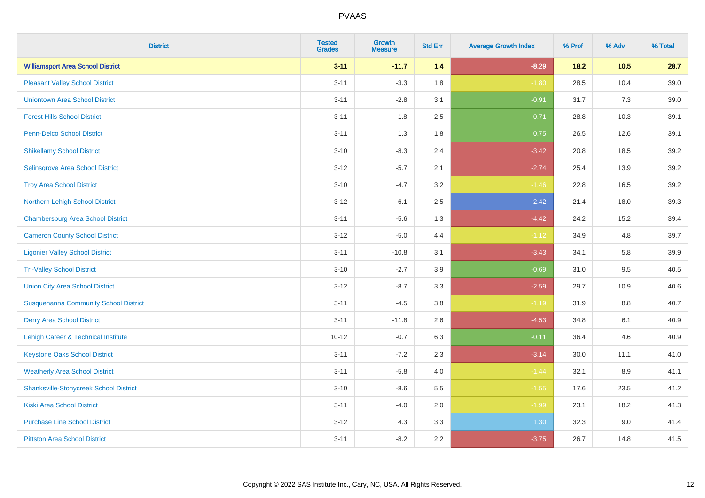| <b>District</b>                                | <b>Tested</b><br><b>Grades</b> | Growth<br><b>Measure</b> | <b>Std Err</b> | <b>Average Growth Index</b> | % Prof | % Adv   | % Total |
|------------------------------------------------|--------------------------------|--------------------------|----------------|-----------------------------|--------|---------|---------|
| <b>Williamsport Area School District</b>       | $3 - 11$                       | $-11.7$                  | 1.4            | $-8.29$                     | $18.2$ | $10.5$  | 28.7    |
| <b>Pleasant Valley School District</b>         | $3 - 11$                       | $-3.3$                   | 1.8            | $-1.80$                     | 28.5   | 10.4    | 39.0    |
| <b>Uniontown Area School District</b>          | $3 - 11$                       | $-2.8$                   | 3.1            | $-0.91$                     | 31.7   | 7.3     | 39.0    |
| <b>Forest Hills School District</b>            | $3 - 11$                       | 1.8                      | 2.5            | 0.71                        | 28.8   | 10.3    | 39.1    |
| Penn-Delco School District                     | $3 - 11$                       | 1.3                      | 1.8            | 0.75                        | 26.5   | 12.6    | 39.1    |
| <b>Shikellamy School District</b>              | $3 - 10$                       | $-8.3$                   | 2.4            | $-3.42$                     | 20.8   | 18.5    | 39.2    |
| Selinsgrove Area School District               | $3 - 12$                       | $-5.7$                   | 2.1            | $-2.74$                     | 25.4   | 13.9    | 39.2    |
| <b>Troy Area School District</b>               | $3 - 10$                       | $-4.7$                   | 3.2            | $-1.46$                     | 22.8   | 16.5    | 39.2    |
| Northern Lehigh School District                | $3 - 12$                       | 6.1                      | 2.5            | 2.42                        | 21.4   | 18.0    | 39.3    |
| <b>Chambersburg Area School District</b>       | $3 - 11$                       | $-5.6$                   | 1.3            | $-4.42$                     | 24.2   | 15.2    | 39.4    |
| <b>Cameron County School District</b>          | $3 - 12$                       | $-5.0$                   | 4.4            | $-1.12$                     | 34.9   | 4.8     | 39.7    |
| <b>Ligonier Valley School District</b>         | $3 - 11$                       | $-10.8$                  | 3.1            | $-3.43$                     | 34.1   | 5.8     | 39.9    |
| <b>Tri-Valley School District</b>              | $3 - 10$                       | $-2.7$                   | 3.9            | $-0.69$                     | 31.0   | 9.5     | 40.5    |
| <b>Union City Area School District</b>         | $3 - 12$                       | $-8.7$                   | 3.3            | $-2.59$                     | 29.7   | 10.9    | 40.6    |
| <b>Susquehanna Community School District</b>   | $3 - 11$                       | $-4.5$                   | 3.8            | $-1.19$                     | 31.9   | 8.8     | 40.7    |
| <b>Derry Area School District</b>              | $3 - 11$                       | $-11.8$                  | 2.6            | $-4.53$                     | 34.8   | 6.1     | 40.9    |
| <b>Lehigh Career &amp; Technical Institute</b> | $10 - 12$                      | $-0.7$                   | 6.3            | $-0.11$                     | 36.4   | 4.6     | 40.9    |
| <b>Keystone Oaks School District</b>           | $3 - 11$                       | $-7.2$                   | 2.3            | $-3.14$                     | 30.0   | 11.1    | 41.0    |
| <b>Weatherly Area School District</b>          | $3 - 11$                       | $-5.8$                   | 4.0            | $-1.44$                     | 32.1   | $8.9\,$ | 41.1    |
| <b>Shanksville-Stonycreek School District</b>  | $3 - 10$                       | $-8.6$                   | 5.5            | $-1.55$                     | 17.6   | 23.5    | 41.2    |
| <b>Kiski Area School District</b>              | $3 - 11$                       | $-4.0$                   | 2.0            | $-1.99$                     | 23.1   | 18.2    | 41.3    |
| <b>Purchase Line School District</b>           | $3 - 12$                       | 4.3                      | 3.3            | 1.30                        | 32.3   | 9.0     | 41.4    |
| <b>Pittston Area School District</b>           | $3 - 11$                       | $-8.2$                   | 2.2            | $-3.75$                     | 26.7   | 14.8    | 41.5    |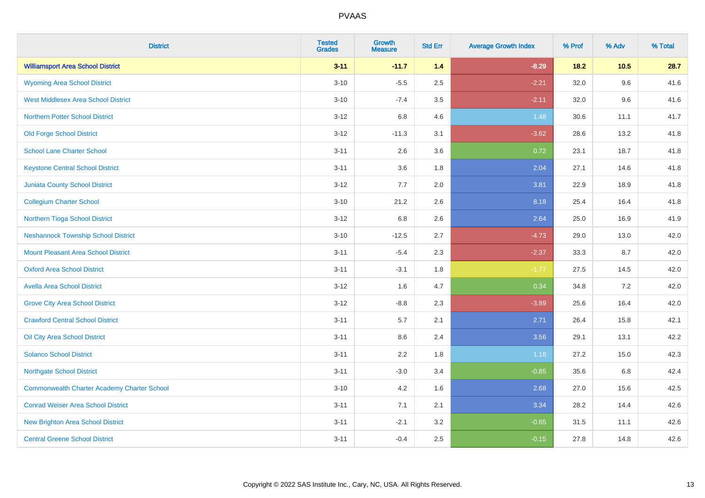| <b>District</b>                                    | <b>Tested</b><br><b>Grades</b> | <b>Growth</b><br><b>Measure</b> | <b>Std Err</b> | <b>Average Growth Index</b> | % Prof | % Adv | % Total |
|----------------------------------------------------|--------------------------------|---------------------------------|----------------|-----------------------------|--------|-------|---------|
| <b>Williamsport Area School District</b>           | $3 - 11$                       | $-11.7$                         | 1.4            | $-8.29$                     | $18.2$ | 10.5  | 28.7    |
| <b>Wyoming Area School District</b>                | $3 - 10$                       | $-5.5$                          | 2.5            | $-2.21$                     | 32.0   | 9.6   | 41.6    |
| <b>West Middlesex Area School District</b>         | $3 - 10$                       | $-7.4$                          | 3.5            | $-2.11$                     | 32.0   | 9.6   | 41.6    |
| <b>Northern Potter School District</b>             | $3 - 12$                       | 6.8                             | 4.6            | 1.48                        | 30.6   | 11.1  | 41.7    |
| <b>Old Forge School District</b>                   | $3 - 12$                       | $-11.3$                         | 3.1            | $-3.62$                     | 28.6   | 13.2  | 41.8    |
| <b>School Lane Charter School</b>                  | $3 - 11$                       | 2.6                             | 3.6            | 0.72                        | 23.1   | 18.7  | 41.8    |
| <b>Keystone Central School District</b>            | $3 - 11$                       | 3.6                             | 1.8            | 2.04                        | 27.1   | 14.6  | 41.8    |
| <b>Juniata County School District</b>              | $3 - 12$                       | 7.7                             | 2.0            | 3.81                        | 22.9   | 18.9  | 41.8    |
| <b>Collegium Charter School</b>                    | $3 - 10$                       | 21.2                            | 2.6            | 8.18                        | 25.4   | 16.4  | 41.8    |
| Northern Tioga School District                     | $3 - 12$                       | 6.8                             | 2.6            | 2.64                        | 25.0   | 16.9  | 41.9    |
| <b>Neshannock Township School District</b>         | $3 - 10$                       | $-12.5$                         | 2.7            | $-4.73$                     | 29.0   | 13.0  | 42.0    |
| <b>Mount Pleasant Area School District</b>         | $3 - 11$                       | $-5.4$                          | 2.3            | $-2.37$                     | 33.3   | 8.7   | 42.0    |
| <b>Oxford Area School District</b>                 | $3 - 11$                       | $-3.1$                          | 1.8            | $-1.77$                     | 27.5   | 14.5  | 42.0    |
| <b>Avella Area School District</b>                 | $3 - 12$                       | 1.6                             | 4.7            | 0.34                        | 34.8   | 7.2   | 42.0    |
| <b>Grove City Area School District</b>             | $3 - 12$                       | $-8.8$                          | 2.3            | $-3.89$                     | 25.6   | 16.4  | 42.0    |
| <b>Crawford Central School District</b>            | $3 - 11$                       | 5.7                             | 2.1            | 2.71                        | 26.4   | 15.8  | 42.1    |
| Oil City Area School District                      | $3 - 11$                       | 8.6                             | 2.4            | 3.56                        | 29.1   | 13.1  | 42.2    |
| <b>Solanco School District</b>                     | $3 - 11$                       | 2.2                             | 1.8            | 1.18                        | 27.2   | 15.0  | 42.3    |
| <b>Northgate School District</b>                   | $3 - 11$                       | $-3.0$                          | 3.4            | $-0.85$                     | 35.6   | 6.8   | 42.4    |
| <b>Commonwealth Charter Academy Charter School</b> | $3 - 10$                       | 4.2                             | 1.6            | 2.68                        | 27.0   | 15.6  | 42.5    |
| <b>Conrad Weiser Area School District</b>          | $3 - 11$                       | 7.1                             | 2.1            | 3.34                        | 28.2   | 14.4  | 42.6    |
| New Brighton Area School District                  | $3 - 11$                       | $-2.1$                          | 3.2            | $-0.65$                     | 31.5   | 11.1  | 42.6    |
| <b>Central Greene School District</b>              | $3 - 11$                       | $-0.4$                          | 2.5            | $-0.15$                     | 27.8   | 14.8  | 42.6    |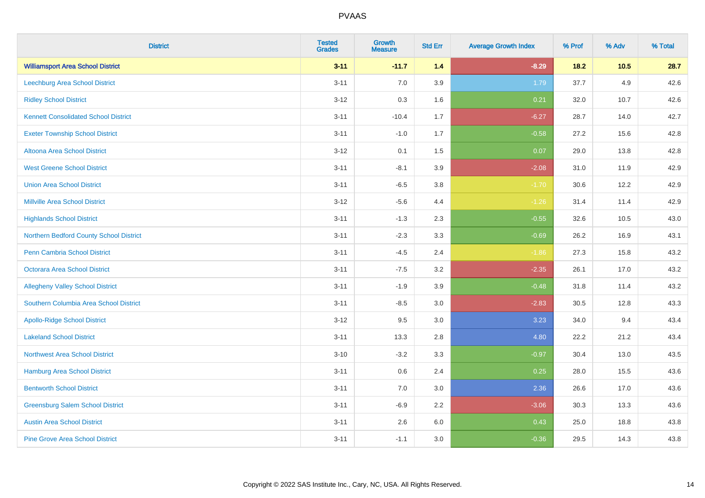| <b>District</b>                             | <b>Tested</b><br><b>Grades</b> | <b>Growth</b><br><b>Measure</b> | <b>Std Err</b> | <b>Average Growth Index</b> | % Prof | % Adv | % Total |
|---------------------------------------------|--------------------------------|---------------------------------|----------------|-----------------------------|--------|-------|---------|
| <b>Williamsport Area School District</b>    | $3 - 11$                       | $-11.7$                         | 1.4            | $-8.29$                     | 18.2   | 10.5  | 28.7    |
| <b>Leechburg Area School District</b>       | $3 - 11$                       | $7.0\,$                         | 3.9            | 1.79                        | 37.7   | 4.9   | 42.6    |
| <b>Ridley School District</b>               | $3 - 12$                       | 0.3                             | 1.6            | 0.21                        | 32.0   | 10.7  | 42.6    |
| <b>Kennett Consolidated School District</b> | $3 - 11$                       | $-10.4$                         | 1.7            | $-6.27$                     | 28.7   | 14.0  | 42.7    |
| <b>Exeter Township School District</b>      | $3 - 11$                       | $-1.0$                          | 1.7            | $-0.58$                     | 27.2   | 15.6  | 42.8    |
| Altoona Area School District                | $3 - 12$                       | 0.1                             | 1.5            | 0.07                        | 29.0   | 13.8  | 42.8    |
| <b>West Greene School District</b>          | $3 - 11$                       | $-8.1$                          | 3.9            | $-2.08$                     | 31.0   | 11.9  | 42.9    |
| <b>Union Area School District</b>           | $3 - 11$                       | $-6.5$                          | 3.8            | $-1.70$                     | 30.6   | 12.2  | 42.9    |
| <b>Millville Area School District</b>       | $3 - 12$                       | $-5.6$                          | 4.4            | $-1.26$                     | 31.4   | 11.4  | 42.9    |
| <b>Highlands School District</b>            | $3 - 11$                       | $-1.3$                          | 2.3            | $-0.55$                     | 32.6   | 10.5  | 43.0    |
| Northern Bedford County School District     | $3 - 11$                       | $-2.3$                          | 3.3            | $-0.69$                     | 26.2   | 16.9  | 43.1    |
| <b>Penn Cambria School District</b>         | $3 - 11$                       | $-4.5$                          | 2.4            | $-1.86$                     | 27.3   | 15.8  | 43.2    |
| Octorara Area School District               | $3 - 11$                       | $-7.5$                          | 3.2            | $-2.35$                     | 26.1   | 17.0  | 43.2    |
| <b>Allegheny Valley School District</b>     | $3 - 11$                       | $-1.9$                          | 3.9            | $-0.48$                     | 31.8   | 11.4  | 43.2    |
| Southern Columbia Area School District      | $3 - 11$                       | $-8.5$                          | 3.0            | $-2.83$                     | 30.5   | 12.8  | 43.3    |
| <b>Apollo-Ridge School District</b>         | $3 - 12$                       | 9.5                             | 3.0            | 3.23                        | 34.0   | 9.4   | 43.4    |
| <b>Lakeland School District</b>             | $3 - 11$                       | 13.3                            | 2.8            | 4.80                        | 22.2   | 21.2  | 43.4    |
| <b>Northwest Area School District</b>       | $3 - 10$                       | $-3.2$                          | 3.3            | $-0.97$                     | 30.4   | 13.0  | 43.5    |
| <b>Hamburg Area School District</b>         | $3 - 11$                       | $0.6\,$                         | 2.4            | 0.25                        | 28.0   | 15.5  | 43.6    |
| <b>Bentworth School District</b>            | $3 - 11$                       | 7.0                             | 3.0            | 2.36                        | 26.6   | 17.0  | 43.6    |
| <b>Greensburg Salem School District</b>     | $3 - 11$                       | $-6.9$                          | 2.2            | $-3.06$                     | 30.3   | 13.3  | 43.6    |
| <b>Austin Area School District</b>          | $3 - 11$                       | 2.6                             | 6.0            | 0.43                        | 25.0   | 18.8  | 43.8    |
| <b>Pine Grove Area School District</b>      | $3 - 11$                       | $-1.1$                          | 3.0            | $-0.36$                     | 29.5   | 14.3  | 43.8    |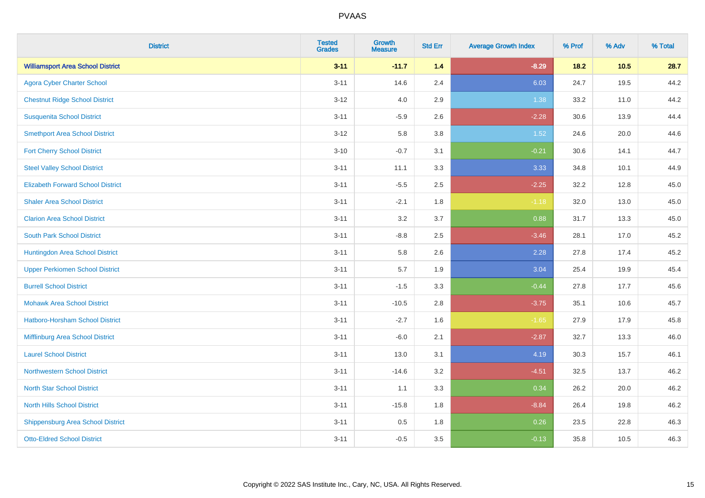| <b>District</b>                          | <b>Tested</b><br><b>Grades</b> | <b>Growth</b><br><b>Measure</b> | <b>Std Err</b> | <b>Average Growth Index</b> | % Prof | % Adv | % Total |
|------------------------------------------|--------------------------------|---------------------------------|----------------|-----------------------------|--------|-------|---------|
| <b>Williamsport Area School District</b> | $3 - 11$                       | $-11.7$                         | 1.4            | $-8.29$                     | $18.2$ | 10.5  | 28.7    |
| <b>Agora Cyber Charter School</b>        | $3 - 11$                       | 14.6                            | 2.4            | 6.03                        | 24.7   | 19.5  | 44.2    |
| <b>Chestnut Ridge School District</b>    | $3 - 12$                       | 4.0                             | 2.9            | 1.38                        | 33.2   | 11.0  | 44.2    |
| <b>Susquenita School District</b>        | $3 - 11$                       | $-5.9$                          | 2.6            | $-2.28$                     | 30.6   | 13.9  | 44.4    |
| <b>Smethport Area School District</b>    | $3 - 12$                       | 5.8                             | 3.8            | 1.52                        | 24.6   | 20.0  | 44.6    |
| <b>Fort Cherry School District</b>       | $3 - 10$                       | $-0.7$                          | 3.1            | $-0.21$                     | 30.6   | 14.1  | 44.7    |
| <b>Steel Valley School District</b>      | $3 - 11$                       | 11.1                            | 3.3            | 3.33                        | 34.8   | 10.1  | 44.9    |
| <b>Elizabeth Forward School District</b> | $3 - 11$                       | $-5.5$                          | 2.5            | $-2.25$                     | 32.2   | 12.8  | 45.0    |
| <b>Shaler Area School District</b>       | $3 - 11$                       | $-2.1$                          | 1.8            | $-1.18$                     | 32.0   | 13.0  | 45.0    |
| <b>Clarion Area School District</b>      | $3 - 11$                       | 3.2                             | 3.7            | 0.88                        | 31.7   | 13.3  | 45.0    |
| <b>South Park School District</b>        | $3 - 11$                       | $-8.8$                          | 2.5            | $-3.46$                     | 28.1   | 17.0  | 45.2    |
| Huntingdon Area School District          | $3 - 11$                       | 5.8                             | 2.6            | 2.28                        | 27.8   | 17.4  | 45.2    |
| <b>Upper Perkiomen School District</b>   | $3 - 11$                       | 5.7                             | 1.9            | 3.04                        | 25.4   | 19.9  | 45.4    |
| <b>Burrell School District</b>           | $3 - 11$                       | $-1.5$                          | 3.3            | $-0.44$                     | 27.8   | 17.7  | 45.6    |
| <b>Mohawk Area School District</b>       | $3 - 11$                       | $-10.5$                         | 2.8            | $-3.75$                     | 35.1   | 10.6  | 45.7    |
| Hatboro-Horsham School District          | $3 - 11$                       | $-2.7$                          | 1.6            | $-1.65$                     | 27.9   | 17.9  | 45.8    |
| Mifflinburg Area School District         | $3 - 11$                       | $-6.0$                          | 2.1            | $-2.87$                     | 32.7   | 13.3  | 46.0    |
| <b>Laurel School District</b>            | $3 - 11$                       | 13.0                            | 3.1            | 4.19                        | 30.3   | 15.7  | 46.1    |
| Northwestern School District             | $3 - 11$                       | $-14.6$                         | 3.2            | $-4.51$                     | 32.5   | 13.7  | 46.2    |
| <b>North Star School District</b>        | $3 - 11$                       | 1.1                             | 3.3            | 0.34                        | 26.2   | 20.0  | 46.2    |
| <b>North Hills School District</b>       | $3 - 11$                       | $-15.8$                         | 1.8            | $-8.84$                     | 26.4   | 19.8  | 46.2    |
| <b>Shippensburg Area School District</b> | $3 - 11$                       | 0.5                             | 1.8            | 0.26                        | 23.5   | 22.8  | 46.3    |
| <b>Otto-Eldred School District</b>       | $3 - 11$                       | $-0.5$                          | 3.5            | $-0.13$                     | 35.8   | 10.5  | 46.3    |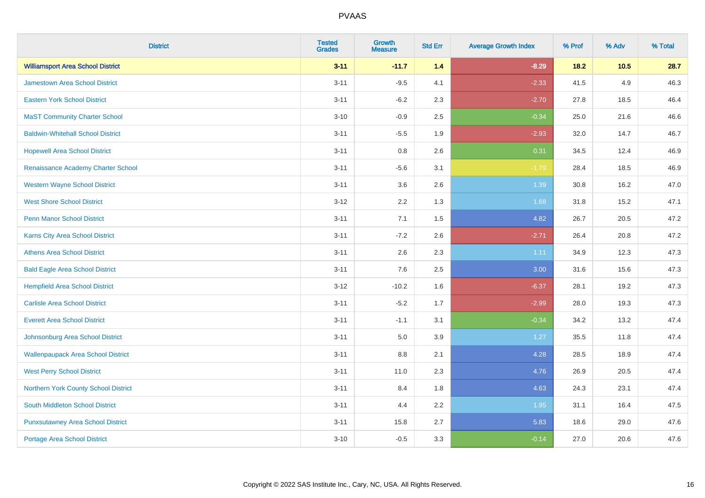| <b>District</b>                           | <b>Tested</b><br><b>Grades</b> | <b>Growth</b><br><b>Measure</b> | <b>Std Err</b> | <b>Average Growth Index</b> | % Prof | % Adv | % Total |
|-------------------------------------------|--------------------------------|---------------------------------|----------------|-----------------------------|--------|-------|---------|
| <b>Williamsport Area School District</b>  | $3 - 11$                       | $-11.7$                         | 1.4            | $-8.29$                     | $18.2$ | 10.5  | 28.7    |
| Jamestown Area School District            | $3 - 11$                       | $-9.5$                          | 4.1            | $-2.33$                     | 41.5   | 4.9   | 46.3    |
| <b>Eastern York School District</b>       | $3 - 11$                       | $-6.2$                          | 2.3            | $-2.70$                     | 27.8   | 18.5  | 46.4    |
| <b>MaST Community Charter School</b>      | $3 - 10$                       | $-0.9$                          | 2.5            | $-0.34$                     | 25.0   | 21.6  | 46.6    |
| <b>Baldwin-Whitehall School District</b>  | $3 - 11$                       | $-5.5$                          | 1.9            | $-2.93$                     | 32.0   | 14.7  | 46.7    |
| <b>Hopewell Area School District</b>      | $3 - 11$                       | 0.8                             | 2.6            | 0.31                        | 34.5   | 12.4  | 46.9    |
| Renaissance Academy Charter School        | $3 - 11$                       | $-5.6$                          | 3.1            | $-1.79$                     | 28.4   | 18.5  | 46.9    |
| <b>Western Wayne School District</b>      | $3 - 11$                       | 3.6                             | 2.6            | 1.39                        | 30.8   | 16.2  | 47.0    |
| <b>West Shore School District</b>         | $3 - 12$                       | 2.2                             | 1.3            | 1.68                        | 31.8   | 15.2  | 47.1    |
| Penn Manor School District                | $3 - 11$                       | 7.1                             | 1.5            | 4.82                        | 26.7   | 20.5  | 47.2    |
| Karns City Area School District           | $3 - 11$                       | $-7.2$                          | 2.6            | $-2.71$                     | 26.4   | 20.8  | 47.2    |
| <b>Athens Area School District</b>        | $3 - 11$                       | 2.6                             | 2.3            | 1.11                        | 34.9   | 12.3  | 47.3    |
| <b>Bald Eagle Area School District</b>    | $3 - 11$                       | 7.6                             | 2.5            | 3.00                        | 31.6   | 15.6  | 47.3    |
| <b>Hempfield Area School District</b>     | $3 - 12$                       | $-10.2$                         | 1.6            | $-6.37$                     | 28.1   | 19.2  | 47.3    |
| <b>Carlisle Area School District</b>      | $3 - 11$                       | $-5.2$                          | 1.7            | $-2.99$                     | 28.0   | 19.3  | 47.3    |
| <b>Everett Area School District</b>       | $3 - 11$                       | $-1.1$                          | 3.1            | $-0.34$                     | 34.2   | 13.2  | 47.4    |
| Johnsonburg Area School District          | $3 - 11$                       | 5.0                             | 3.9            | 1.27                        | 35.5   | 11.8  | 47.4    |
| <b>Wallenpaupack Area School District</b> | $3 - 11$                       | $8.8\,$                         | 2.1            | 4.28                        | 28.5   | 18.9  | 47.4    |
| <b>West Perry School District</b>         | $3 - 11$                       | 11.0                            | 2.3            | 4.76                        | 26.9   | 20.5  | 47.4    |
| Northern York County School District      | $3 - 11$                       | 8.4                             | 1.8            | 4.63                        | 24.3   | 23.1  | 47.4    |
| <b>South Middleton School District</b>    | $3 - 11$                       | 4.4                             | 2.2            | 1.95                        | 31.1   | 16.4  | 47.5    |
| <b>Punxsutawney Area School District</b>  | $3 - 11$                       | 15.8                            | 2.7            | 5.83                        | 18.6   | 29.0  | 47.6    |
| <b>Portage Area School District</b>       | $3 - 10$                       | $-0.5$                          | 3.3            | $-0.14$                     | 27.0   | 20.6  | 47.6    |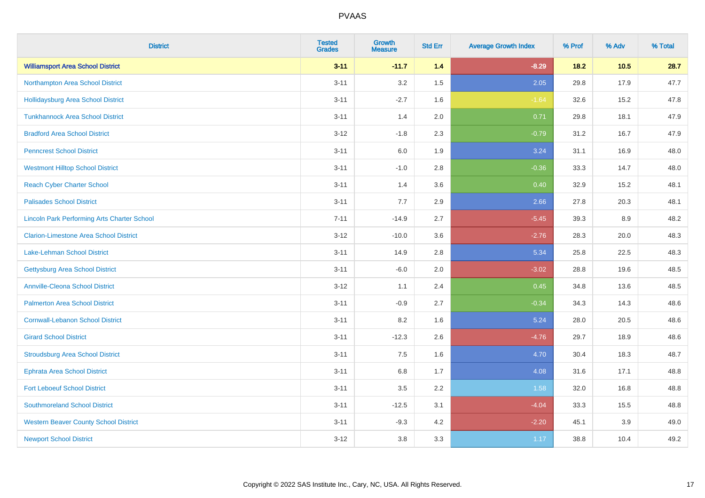| <b>District</b>                                    | <b>Tested</b><br><b>Grades</b> | <b>Growth</b><br><b>Measure</b> | <b>Std Err</b> | <b>Average Growth Index</b> | % Prof | % Adv | % Total |
|----------------------------------------------------|--------------------------------|---------------------------------|----------------|-----------------------------|--------|-------|---------|
| <b>Williamsport Area School District</b>           | $3 - 11$                       | $-11.7$                         | 1.4            | $-8.29$                     | $18.2$ | 10.5  | 28.7    |
| Northampton Area School District                   | $3 - 11$                       | 3.2                             | 1.5            | 2.05                        | 29.8   | 17.9  | 47.7    |
| <b>Hollidaysburg Area School District</b>          | $3 - 11$                       | $-2.7$                          | 1.6            | $-1.64$                     | 32.6   | 15.2  | 47.8    |
| <b>Tunkhannock Area School District</b>            | $3 - 11$                       | 1.4                             | 2.0            | 0.71                        | 29.8   | 18.1  | 47.9    |
| <b>Bradford Area School District</b>               | $3-12$                         | $-1.8$                          | 2.3            | $-0.79$                     | 31.2   | 16.7  | 47.9    |
| <b>Penncrest School District</b>                   | $3 - 11$                       | 6.0                             | 1.9            | 3.24                        | 31.1   | 16.9  | 48.0    |
| <b>Westmont Hilltop School District</b>            | $3 - 11$                       | $-1.0$                          | 2.8            | $-0.36$                     | 33.3   | 14.7  | 48.0    |
| <b>Reach Cyber Charter School</b>                  | $3 - 11$                       | 1.4                             | 3.6            | 0.40                        | 32.9   | 15.2  | 48.1    |
| <b>Palisades School District</b>                   | $3 - 11$                       | 7.7                             | 2.9            | 2.66                        | 27.8   | 20.3  | 48.1    |
| <b>Lincoln Park Performing Arts Charter School</b> | $7 - 11$                       | $-14.9$                         | 2.7            | $-5.45$                     | 39.3   | 8.9   | 48.2    |
| <b>Clarion-Limestone Area School District</b>      | $3 - 12$                       | $-10.0$                         | 3.6            | $-2.76$                     | 28.3   | 20.0  | 48.3    |
| <b>Lake-Lehman School District</b>                 | $3 - 11$                       | 14.9                            | 2.8            | 5.34                        | 25.8   | 22.5  | 48.3    |
| <b>Gettysburg Area School District</b>             | $3 - 11$                       | $-6.0$                          | 2.0            | $-3.02$                     | 28.8   | 19.6  | 48.5    |
| <b>Annville-Cleona School District</b>             | $3 - 12$                       | 1.1                             | 2.4            | 0.45                        | 34.8   | 13.6  | 48.5    |
| <b>Palmerton Area School District</b>              | $3 - 11$                       | $-0.9$                          | 2.7            | $-0.34$                     | 34.3   | 14.3  | 48.6    |
| <b>Cornwall-Lebanon School District</b>            | $3 - 11$                       | 8.2                             | 1.6            | 5.24                        | 28.0   | 20.5  | 48.6    |
| <b>Girard School District</b>                      | $3 - 11$                       | $-12.3$                         | 2.6            | $-4.76$                     | 29.7   | 18.9  | 48.6    |
| <b>Stroudsburg Area School District</b>            | $3 - 11$                       | 7.5                             | 1.6            | 4.70                        | 30.4   | 18.3  | 48.7    |
| <b>Ephrata Area School District</b>                | $3 - 11$                       | $6.8\,$                         | 1.7            | 4.08                        | 31.6   | 17.1  | 48.8    |
| <b>Fort Leboeuf School District</b>                | $3 - 11$                       | 3.5                             | 2.2            | 1.58                        | 32.0   | 16.8  | 48.8    |
| <b>Southmoreland School District</b>               | $3 - 11$                       | $-12.5$                         | 3.1            | $-4.04$                     | 33.3   | 15.5  | 48.8    |
| <b>Western Beaver County School District</b>       | $3 - 11$                       | $-9.3$                          | 4.2            | $-2.20$                     | 45.1   | 3.9   | 49.0    |
| <b>Newport School District</b>                     | $3 - 12$                       | 3.8                             | 3.3            | 1.17                        | 38.8   | 10.4  | 49.2    |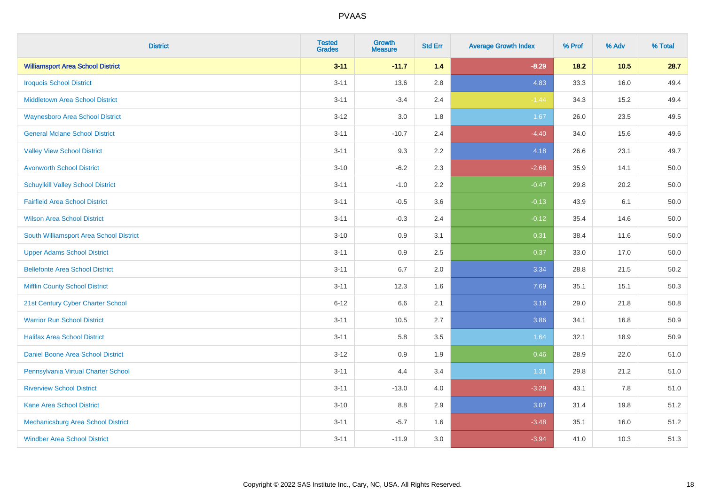| <b>District</b>                          | <b>Tested</b><br><b>Grades</b> | Growth<br><b>Measure</b> | <b>Std Err</b> | <b>Average Growth Index</b> | % Prof | % Adv  | % Total  |
|------------------------------------------|--------------------------------|--------------------------|----------------|-----------------------------|--------|--------|----------|
| <b>Williamsport Area School District</b> | $3 - 11$                       | $-11.7$                  | $1.4$          | $-8.29$                     | 18.2   | $10.5$ | 28.7     |
| <b>Iroquois School District</b>          | $3 - 11$                       | 13.6                     | 2.8            | 4.83                        | 33.3   | 16.0   | 49.4     |
| <b>Middletown Area School District</b>   | $3 - 11$                       | $-3.4$                   | 2.4            | $-1.44$                     | 34.3   | 15.2   | 49.4     |
| <b>Waynesboro Area School District</b>   | $3 - 12$                       | 3.0                      | 1.8            | 1.67                        | 26.0   | 23.5   | 49.5     |
| <b>General Mclane School District</b>    | $3 - 11$                       | $-10.7$                  | 2.4            | $-4.40$                     | 34.0   | 15.6   | 49.6     |
| <b>Valley View School District</b>       | $3 - 11$                       | 9.3                      | 2.2            | 4.18                        | 26.6   | 23.1   | 49.7     |
| <b>Avonworth School District</b>         | $3 - 10$                       | $-6.2$                   | 2.3            | $-2.68$                     | 35.9   | 14.1   | 50.0     |
| <b>Schuylkill Valley School District</b> | $3 - 11$                       | $-1.0$                   | 2.2            | $-0.47$                     | 29.8   | 20.2   | 50.0     |
| <b>Fairfield Area School District</b>    | $3 - 11$                       | $-0.5$                   | 3.6            | $-0.13$                     | 43.9   | 6.1    | 50.0     |
| <b>Wilson Area School District</b>       | $3 - 11$                       | $-0.3$                   | 2.4            | $-0.12$                     | 35.4   | 14.6   | $50.0\,$ |
| South Williamsport Area School District  | $3 - 10$                       | 0.9                      | 3.1            | 0.31                        | 38.4   | 11.6   | 50.0     |
| <b>Upper Adams School District</b>       | $3 - 11$                       | 0.9                      | 2.5            | 0.37                        | 33.0   | 17.0   | $50.0\,$ |
| <b>Bellefonte Area School District</b>   | $3 - 11$                       | 6.7                      | 2.0            | 3.34                        | 28.8   | 21.5   | 50.2     |
| <b>Mifflin County School District</b>    | $3 - 11$                       | 12.3                     | 1.6            | 7.69                        | 35.1   | 15.1   | 50.3     |
| 21st Century Cyber Charter School        | $6 - 12$                       | 6.6                      | 2.1            | 3.16                        | 29.0   | 21.8   | 50.8     |
| <b>Warrior Run School District</b>       | $3 - 11$                       | 10.5                     | 2.7            | 3.86                        | 34.1   | 16.8   | 50.9     |
| <b>Halifax Area School District</b>      | $3 - 11$                       | 5.8                      | 3.5            | 1.64                        | 32.1   | 18.9   | 50.9     |
| Daniel Boone Area School District        | $3-12$                         | 0.9                      | 1.9            | 0.46                        | 28.9   | 22.0   | 51.0     |
| Pennsylvania Virtual Charter School      | $3 - 11$                       | 4.4                      | 3.4            | 1.31                        | 29.8   | 21.2   | 51.0     |
| <b>Riverview School District</b>         | $3 - 11$                       | $-13.0$                  | 4.0            | $-3.29$                     | 43.1   | 7.8    | 51.0     |
| Kane Area School District                | $3 - 10$                       | 8.8                      | 2.9            | 3.07                        | 31.4   | 19.8   | 51.2     |
| Mechanicsburg Area School District       | $3 - 11$                       | $-5.7$                   | 1.6            | $-3.48$                     | 35.1   | 16.0   | 51.2     |
| <b>Windber Area School District</b>      | $3 - 11$                       | $-11.9$                  | 3.0            | $-3.94$                     | 41.0   | 10.3   | 51.3     |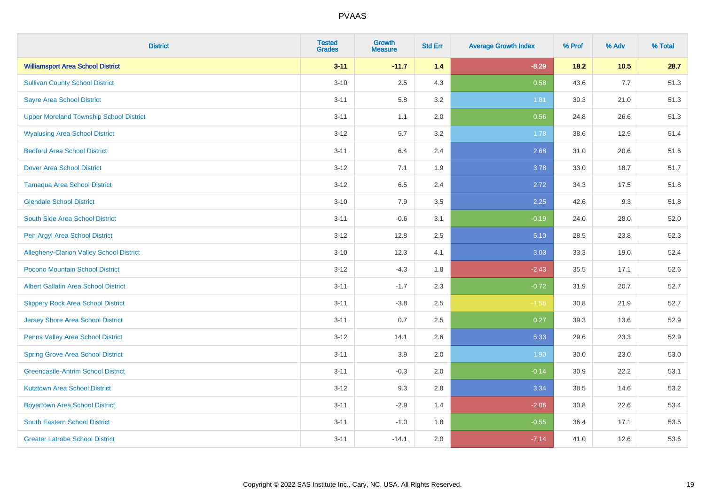| <b>District</b>                                | <b>Tested</b><br><b>Grades</b> | <b>Growth</b><br><b>Measure</b> | <b>Std Err</b> | <b>Average Growth Index</b> | % Prof | % Adv | % Total |
|------------------------------------------------|--------------------------------|---------------------------------|----------------|-----------------------------|--------|-------|---------|
| <b>Williamsport Area School District</b>       | $3 - 11$                       | $-11.7$                         | 1.4            | $-8.29$                     | $18.2$ | 10.5  | 28.7    |
| <b>Sullivan County School District</b>         | $3 - 10$                       | 2.5                             | 4.3            | 0.58                        | 43.6   | 7.7   | 51.3    |
| <b>Sayre Area School District</b>              | $3 - 11$                       | 5.8                             | 3.2            | 1.81                        | 30.3   | 21.0  | 51.3    |
| <b>Upper Moreland Township School District</b> | $3 - 11$                       | 1.1                             | 2.0            | 0.56                        | 24.8   | 26.6  | 51.3    |
| <b>Wyalusing Area School District</b>          | $3 - 12$                       | 5.7                             | 3.2            | 1.78                        | 38.6   | 12.9  | 51.4    |
| <b>Bedford Area School District</b>            | $3 - 11$                       | 6.4                             | 2.4            | 2.68                        | 31.0   | 20.6  | 51.6    |
| <b>Dover Area School District</b>              | $3 - 12$                       | 7.1                             | 1.9            | 3.78                        | 33.0   | 18.7  | 51.7    |
| <b>Tamaqua Area School District</b>            | $3 - 12$                       | 6.5                             | 2.4            | 2.72                        | 34.3   | 17.5  | 51.8    |
| <b>Glendale School District</b>                | $3 - 10$                       | 7.9                             | 3.5            | 2.25                        | 42.6   | 9.3   | 51.8    |
| South Side Area School District                | $3 - 11$                       | $-0.6$                          | 3.1            | $-0.19$                     | 24.0   | 28.0  | 52.0    |
| Pen Argyl Area School District                 | $3 - 12$                       | 12.8                            | 2.5            | 5.10                        | 28.5   | 23.8  | 52.3    |
| Allegheny-Clarion Valley School District       | $3 - 10$                       | 12.3                            | 4.1            | 3.03                        | 33.3   | 19.0  | 52.4    |
| Pocono Mountain School District                | $3 - 12$                       | $-4.3$                          | 1.8            | $-2.43$                     | 35.5   | 17.1  | 52.6    |
| <b>Albert Gallatin Area School District</b>    | $3 - 11$                       | $-1.7$                          | 2.3            | $-0.72$                     | 31.9   | 20.7  | 52.7    |
| <b>Slippery Rock Area School District</b>      | $3 - 11$                       | $-3.8$                          | 2.5            | $-1.56$                     | 30.8   | 21.9  | 52.7    |
| <b>Jersey Shore Area School District</b>       | $3 - 11$                       | 0.7                             | 2.5            | 0.27                        | 39.3   | 13.6  | 52.9    |
| Penns Valley Area School District              | $3 - 12$                       | 14.1                            | 2.6            | 5.33                        | 29.6   | 23.3  | 52.9    |
| <b>Spring Grove Area School District</b>       | $3 - 11$                       | 3.9                             | 2.0            | 1.90                        | 30.0   | 23.0  | 53.0    |
| <b>Greencastle-Antrim School District</b>      | $3 - 11$                       | $-0.3$                          | 2.0            | $-0.14$                     | 30.9   | 22.2  | 53.1    |
| <b>Kutztown Area School District</b>           | $3 - 12$                       | 9.3                             | 2.8            | 3.34                        | 38.5   | 14.6  | 53.2    |
| <b>Boyertown Area School District</b>          | $3 - 11$                       | $-2.9$                          | 1.4            | $-2.06$                     | 30.8   | 22.6  | 53.4    |
| South Eastern School District                  | $3 - 11$                       | $-1.0$                          | 1.8            | $-0.55$                     | 36.4   | 17.1  | 53.5    |
| <b>Greater Latrobe School District</b>         | $3 - 11$                       | $-14.1$                         | 2.0            | $-7.14$                     | 41.0   | 12.6  | 53.6    |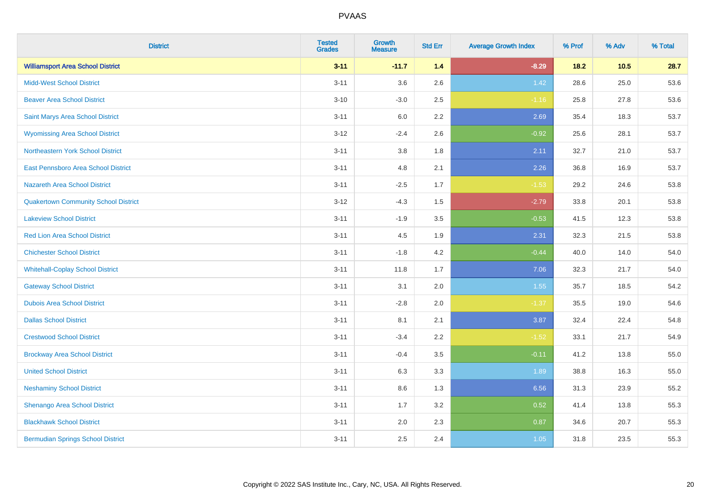| <b>District</b>                             | <b>Tested</b><br><b>Grades</b> | <b>Growth</b><br><b>Measure</b> | <b>Std Err</b> | <b>Average Growth Index</b> | % Prof | % Adv | % Total |
|---------------------------------------------|--------------------------------|---------------------------------|----------------|-----------------------------|--------|-------|---------|
| <b>Williamsport Area School District</b>    | $3 - 11$                       | $-11.7$                         | 1.4            | $-8.29$                     | $18.2$ | 10.5  | 28.7    |
| <b>Midd-West School District</b>            | $3 - 11$                       | 3.6                             | 2.6            | 1.42                        | 28.6   | 25.0  | 53.6    |
| <b>Beaver Area School District</b>          | $3 - 10$                       | $-3.0$                          | 2.5            | $-1.16$                     | 25.8   | 27.8  | 53.6    |
| Saint Marys Area School District            | $3 - 11$                       | 6.0                             | 2.2            | 2.69                        | 35.4   | 18.3  | 53.7    |
| <b>Wyomissing Area School District</b>      | $3 - 12$                       | $-2.4$                          | 2.6            | $-0.92$                     | 25.6   | 28.1  | 53.7    |
| Northeastern York School District           | $3 - 11$                       | 3.8                             | 1.8            | 2.11                        | 32.7   | 21.0  | 53.7    |
| East Pennsboro Area School District         | $3 - 11$                       | 4.8                             | 2.1            | 2.26                        | 36.8   | 16.9  | 53.7    |
| <b>Nazareth Area School District</b>        | $3 - 11$                       | $-2.5$                          | 1.7            | $-1.53$                     | 29.2   | 24.6  | 53.8    |
| <b>Quakertown Community School District</b> | $3 - 12$                       | $-4.3$                          | 1.5            | $-2.79$                     | 33.8   | 20.1  | 53.8    |
| <b>Lakeview School District</b>             | $3 - 11$                       | $-1.9$                          | 3.5            | $-0.53$                     | 41.5   | 12.3  | 53.8    |
| <b>Red Lion Area School District</b>        | $3 - 11$                       | 4.5                             | 1.9            | 2.31                        | 32.3   | 21.5  | 53.8    |
| <b>Chichester School District</b>           | $3 - 11$                       | $-1.8$                          | 4.2            | $-0.44$                     | 40.0   | 14.0  | 54.0    |
| <b>Whitehall-Coplay School District</b>     | $3 - 11$                       | 11.8                            | 1.7            | 7.06                        | 32.3   | 21.7  | 54.0    |
| <b>Gateway School District</b>              | $3 - 11$                       | 3.1                             | 2.0            | 1.55                        | 35.7   | 18.5  | 54.2    |
| <b>Dubois Area School District</b>          | $3 - 11$                       | $-2.8$                          | 2.0            | $-1.37$                     | 35.5   | 19.0  | 54.6    |
| <b>Dallas School District</b>               | $3 - 11$                       | 8.1                             | 2.1            | 3.87                        | 32.4   | 22.4  | 54.8    |
| <b>Crestwood School District</b>            | $3 - 11$                       | $-3.4$                          | 2.2            | $-1.52$                     | 33.1   | 21.7  | 54.9    |
| <b>Brockway Area School District</b>        | $3 - 11$                       | $-0.4$                          | 3.5            | $-0.11$                     | 41.2   | 13.8  | 55.0    |
| <b>United School District</b>               | $3 - 11$                       | 6.3                             | 3.3            | 1.89                        | 38.8   | 16.3  | 55.0    |
| <b>Neshaminy School District</b>            | $3 - 11$                       | 8.6                             | 1.3            | 6.56                        | 31.3   | 23.9  | 55.2    |
| Shenango Area School District               | $3 - 11$                       | 1.7                             | 3.2            | 0.52                        | 41.4   | 13.8  | 55.3    |
| <b>Blackhawk School District</b>            | $3 - 11$                       | 2.0                             | 2.3            | 0.87                        | 34.6   | 20.7  | 55.3    |
| <b>Bermudian Springs School District</b>    | $3 - 11$                       | 2.5                             | 2.4            | 1.05                        | 31.8   | 23.5  | 55.3    |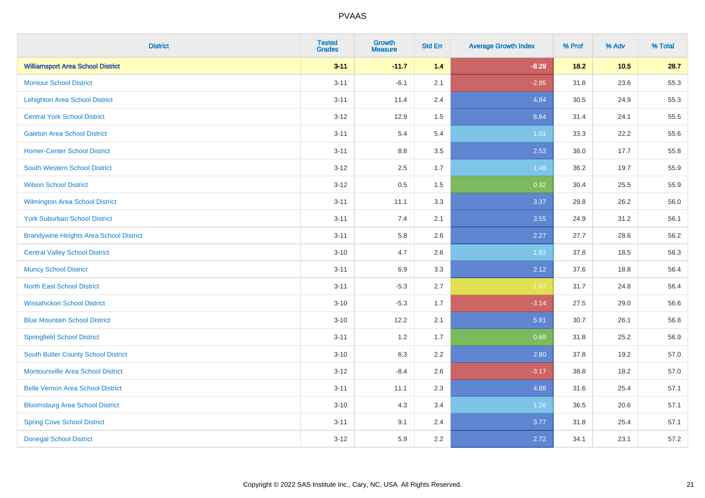| <b>District</b>                                | <b>Tested</b><br><b>Grades</b> | Growth<br><b>Measure</b> | <b>Std Err</b> | <b>Average Growth Index</b> | % Prof | % Adv  | % Total |
|------------------------------------------------|--------------------------------|--------------------------|----------------|-----------------------------|--------|--------|---------|
| <b>Williamsport Area School District</b>       | $3 - 11$                       | $-11.7$                  | $1.4$          | $-8.29$                     | $18.2$ | $10.5$ | 28.7    |
| <b>Montour School District</b>                 | $3 - 11$                       | $-6.1$                   | 2.1            | $-2.95$                     | 31.8   | 23.6   | 55.3    |
| <b>Lehighton Area School District</b>          | $3 - 11$                       | 11.4                     | 2.4            | 4.84                        | 30.5   | 24.9   | 55.3    |
| <b>Central York School District</b>            | $3 - 12$                       | 12.9                     | 1.5            | 8.64                        | 31.4   | 24.1   | 55.5    |
| <b>Galeton Area School District</b>            | $3 - 11$                       | 5.4                      | 5.4            | 1.01                        | 33.3   | 22.2   | 55.6    |
| <b>Homer-Center School District</b>            | $3 - 11$                       | 8.8                      | 3.5            | 2.53                        | 38.0   | 17.7   | 55.8    |
| <b>South Western School District</b>           | $3 - 12$                       | 2.5                      | 1.7            | 1.48                        | 36.2   | 19.7   | 55.9    |
| <b>Wilson School District</b>                  | $3 - 12$                       | 0.5                      | 1.5            | 0.32                        | 30.4   | 25.5   | 55.9    |
| Wilmington Area School District                | $3 - 11$                       | 11.1                     | 3.3            | 3.37                        | 29.8   | 26.2   | 56.0    |
| <b>York Suburban School District</b>           | $3 - 11$                       | 7.4                      | 2.1            | 3.55                        | 24.9   | 31.2   | 56.1    |
| <b>Brandywine Heights Area School District</b> | $3 - 11$                       | 5.8                      | 2.6            | 2.27                        | 27.7   | 28.6   | 56.2    |
| <b>Central Valley School District</b>          | $3 - 10$                       | 4.7                      | 2.6            | 1.83                        | 37.8   | 18.5   | 56.3    |
| <b>Muncy School District</b>                   | $3 - 11$                       | 6.9                      | 3.3            | 2.12                        | 37.6   | 18.8   | 56.4    |
| <b>North East School District</b>              | $3 - 11$                       | $-5.3$                   | 2.7            | $-1.97$                     | 31.7   | 24.8   | 56.4    |
| <b>Wissahickon School District</b>             | $3 - 10$                       | $-5.3$                   | 1.7            | $-3.14$                     | 27.5   | 29.0   | 56.6    |
| <b>Blue Mountain School District</b>           | $3 - 10$                       | 12.2                     | 2.1            | 5.81                        | 30.7   | 26.1   | 56.8    |
| <b>Springfield School District</b>             | $3 - 11$                       | 1.2                      | 1.7            | 0.69                        | 31.8   | 25.2   | 56.9    |
| <b>South Butler County School District</b>     | $3 - 10$                       | 6.3                      | 2.2            | 2.80                        | 37.8   | 19.2   | 57.0    |
| <b>Montoursville Area School District</b>      | $3 - 12$                       | $-8.4$                   | 2.6            | $-3.17$                     | 38.8   | 18.2   | 57.0    |
| <b>Belle Vernon Area School District</b>       | $3 - 11$                       | 11.1                     | 2.3            | 4.88                        | 31.6   | 25.4   | 57.1    |
| <b>Bloomsburg Area School District</b>         | $3 - 10$                       | 4.3                      | 3.4            | 1.26                        | 36.5   | 20.6   | 57.1    |
| <b>Spring Cove School District</b>             | $3 - 11$                       | 9.1                      | 2.4            | 3.77                        | 31.8   | 25.4   | 57.1    |
| <b>Donegal School District</b>                 | $3 - 12$                       | 5.9                      | 2.2            | 2.72                        | 34.1   | 23.1   | 57.2    |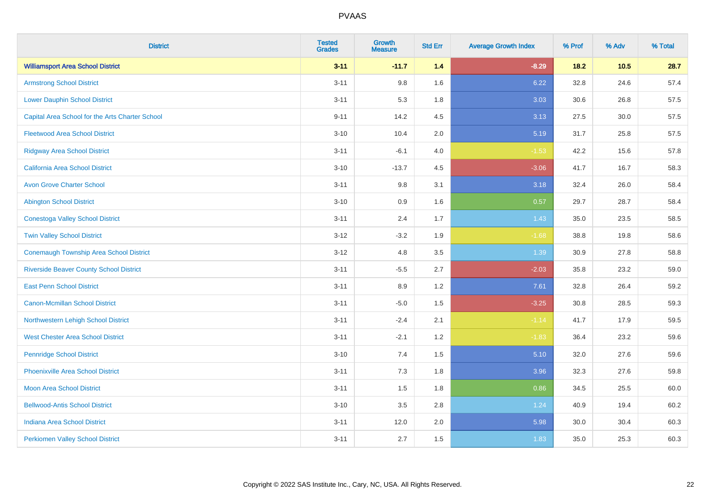| <b>District</b>                                 | <b>Tested</b><br><b>Grades</b> | Growth<br><b>Measure</b> | <b>Std Err</b> | <b>Average Growth Index</b> | % Prof | % Adv  | % Total |
|-------------------------------------------------|--------------------------------|--------------------------|----------------|-----------------------------|--------|--------|---------|
| <b>Williamsport Area School District</b>        | $3 - 11$                       | $-11.7$                  | $1.4$          | $-8.29$                     | 18.2   | $10.5$ | 28.7    |
| <b>Armstrong School District</b>                | $3 - 11$                       | 9.8                      | 1.6            | 6.22                        | 32.8   | 24.6   | 57.4    |
| <b>Lower Dauphin School District</b>            | $3 - 11$                       | 5.3                      | 1.8            | 3.03                        | 30.6   | 26.8   | 57.5    |
| Capital Area School for the Arts Charter School | $9 - 11$                       | 14.2                     | 4.5            | 3.13                        | 27.5   | 30.0   | 57.5    |
| <b>Fleetwood Area School District</b>           | $3 - 10$                       | 10.4                     | 2.0            | 5.19                        | 31.7   | 25.8   | 57.5    |
| <b>Ridgway Area School District</b>             | $3 - 11$                       | $-6.1$                   | 4.0            | $-1.53$                     | 42.2   | 15.6   | 57.8    |
| California Area School District                 | $3 - 10$                       | $-13.7$                  | 4.5            | $-3.06$                     | 41.7   | 16.7   | 58.3    |
| <b>Avon Grove Charter School</b>                | $3 - 11$                       | 9.8                      | 3.1            | 3.18                        | 32.4   | 26.0   | 58.4    |
| <b>Abington School District</b>                 | $3 - 10$                       | 0.9                      | 1.6            | 0.57                        | 29.7   | 28.7   | 58.4    |
| <b>Conestoga Valley School District</b>         | $3 - 11$                       | 2.4                      | 1.7            | 1.43                        | 35.0   | 23.5   | 58.5    |
| <b>Twin Valley School District</b>              | $3 - 12$                       | $-3.2$                   | 1.9            | $-1.68$                     | 38.8   | 19.8   | 58.6    |
| <b>Conemaugh Township Area School District</b>  | $3 - 12$                       | 4.8                      | 3.5            | 1.39                        | 30.9   | 27.8   | 58.8    |
| <b>Riverside Beaver County School District</b>  | $3 - 11$                       | $-5.5$                   | 2.7            | $-2.03$                     | 35.8   | 23.2   | 59.0    |
| <b>East Penn School District</b>                | $3 - 11$                       | 8.9                      | 1.2            | 7.61                        | 32.8   | 26.4   | 59.2    |
| <b>Canon-Mcmillan School District</b>           | $3 - 11$                       | $-5.0$                   | 1.5            | $-3.25$                     | 30.8   | 28.5   | 59.3    |
| Northwestern Lehigh School District             | $3 - 11$                       | $-2.4$                   | 2.1            | $-1.14$                     | 41.7   | 17.9   | 59.5    |
| <b>West Chester Area School District</b>        | $3 - 11$                       | $-2.1$                   | 1.2            | $-1.83$                     | 36.4   | 23.2   | 59.6    |
| <b>Pennridge School District</b>                | $3 - 10$                       | 7.4                      | 1.5            | 5.10                        | 32.0   | 27.6   | 59.6    |
| <b>Phoenixville Area School District</b>        | $3 - 11$                       | $7.3$                    | 1.8            | 3.96                        | 32.3   | 27.6   | 59.8    |
| <b>Moon Area School District</b>                | $3 - 11$                       | 1.5                      | 1.8            | 0.86                        | 34.5   | 25.5   | 60.0    |
| <b>Bellwood-Antis School District</b>           | $3 - 10$                       | 3.5                      | 2.8            | 1.24                        | 40.9   | 19.4   | 60.2    |
| <b>Indiana Area School District</b>             | $3 - 11$                       | 12.0                     | 2.0            | 5.98                        | 30.0   | 30.4   | 60.3    |
| <b>Perkiomen Valley School District</b>         | $3 - 11$                       | 2.7                      | 1.5            | 1.83                        | 35.0   | 25.3   | 60.3    |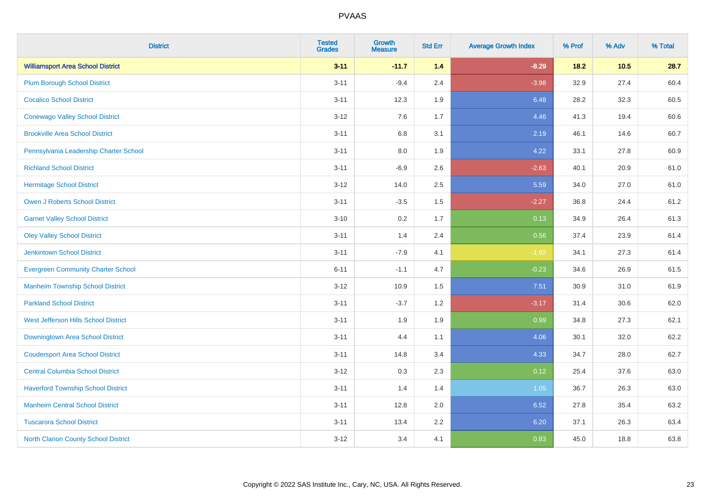| <b>District</b>                           | <b>Tested</b><br><b>Grades</b> | <b>Growth</b><br><b>Measure</b> | <b>Std Err</b> | <b>Average Growth Index</b> | % Prof | % Adv | % Total |
|-------------------------------------------|--------------------------------|---------------------------------|----------------|-----------------------------|--------|-------|---------|
| <b>Williamsport Area School District</b>  | $3 - 11$                       | $-11.7$                         | 1.4            | $-8.29$                     | $18.2$ | 10.5  | 28.7    |
| <b>Plum Borough School District</b>       | $3 - 11$                       | $-9.4$                          | 2.4            | $-3.98$                     | 32.9   | 27.4  | 60.4    |
| <b>Cocalico School District</b>           | $3 - 11$                       | 12.3                            | 1.9            | 6.48                        | 28.2   | 32.3  | 60.5    |
| <b>Conewago Valley School District</b>    | $3 - 12$                       | 7.6                             | 1.7            | 4.46                        | 41.3   | 19.4  | 60.6    |
| <b>Brookville Area School District</b>    | $3 - 11$                       | $6.8\,$                         | 3.1            | 2.19                        | 46.1   | 14.6  | 60.7    |
| Pennsylvania Leadership Charter School    | $3 - 11$                       | 8.0                             | 1.9            | 4.22                        | 33.1   | 27.8  | 60.9    |
| <b>Richland School District</b>           | $3 - 11$                       | $-6.9$                          | 2.6            | $-2.63$                     | 40.1   | 20.9  | 61.0    |
| <b>Hermitage School District</b>          | $3 - 12$                       | 14.0                            | 2.5            | 5.59                        | 34.0   | 27.0  | 61.0    |
| <b>Owen J Roberts School District</b>     | $3 - 11$                       | $-3.5$                          | 1.5            | $-2.27$                     | 36.8   | 24.4  | 61.2    |
| <b>Garnet Valley School District</b>      | $3 - 10$                       | 0.2                             | 1.7            | 0.13                        | 34.9   | 26.4  | 61.3    |
| <b>Oley Valley School District</b>        | $3 - 11$                       | 1.4                             | 2.4            | 0.56                        | 37.4   | 23.9  | 61.4    |
| <b>Jenkintown School District</b>         | $3 - 11$                       | $-7.9$                          | 4.1            | $-1.92$                     | 34.1   | 27.3  | 61.4    |
| <b>Evergreen Community Charter School</b> | $6 - 11$                       | $-1.1$                          | 4.7            | $-0.23$                     | 34.6   | 26.9  | 61.5    |
| <b>Manheim Township School District</b>   | $3 - 12$                       | 10.9                            | 1.5            | 7.51                        | 30.9   | 31.0  | 61.9    |
| <b>Parkland School District</b>           | $3 - 11$                       | $-3.7$                          | 1.2            | $-3.17$                     | 31.4   | 30.6  | 62.0    |
| West Jefferson Hills School District      | $3 - 11$                       | 1.9                             | 1.9            | 0.99                        | 34.8   | 27.3  | 62.1    |
| Downingtown Area School District          | $3 - 11$                       | 4.4                             | 1.1            | 4.06                        | 30.1   | 32.0  | 62.2    |
| <b>Coudersport Area School District</b>   | $3 - 11$                       | 14.8                            | 3.4            | 4.33                        | 34.7   | 28.0  | 62.7    |
| <b>Central Columbia School District</b>   | $3 - 12$                       | 0.3                             | 2.3            | 0.12                        | 25.4   | 37.6  | 63.0    |
| <b>Haverford Township School District</b> | $3 - 11$                       | 1.4                             | 1.4            | 1.05                        | 36.7   | 26.3  | 63.0    |
| <b>Manheim Central School District</b>    | $3 - 11$                       | 12.8                            | 2.0            | 6.52                        | 27.8   | 35.4  | 63.2    |
| <b>Tuscarora School District</b>          | $3 - 11$                       | 13.4                            | 2.2            | 6.20                        | 37.1   | 26.3  | 63.4    |
| North Clarion County School District      | $3 - 12$                       | 3.4                             | 4.1            | 0.83                        | 45.0   | 18.8  | 63.8    |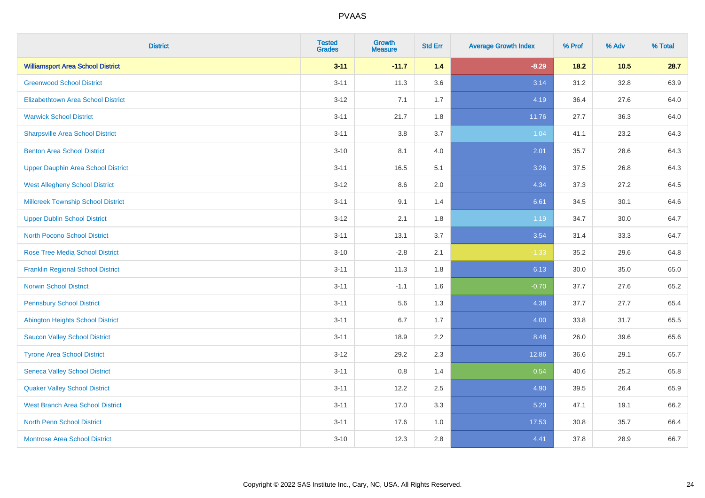| <b>District</b>                           | <b>Tested</b><br><b>Grades</b> | <b>Growth</b><br><b>Measure</b> | <b>Std Err</b> | <b>Average Growth Index</b> | % Prof | % Adv    | % Total |
|-------------------------------------------|--------------------------------|---------------------------------|----------------|-----------------------------|--------|----------|---------|
| <b>Williamsport Area School District</b>  | $3 - 11$                       | $-11.7$                         | 1.4            | $-8.29$                     | 18.2   | $10.5$   | 28.7    |
| <b>Greenwood School District</b>          | $3 - 11$                       | 11.3                            | 3.6            | 3.14                        | 31.2   | 32.8     | 63.9    |
| <b>Elizabethtown Area School District</b> | $3 - 12$                       | 7.1                             | 1.7            | 4.19                        | 36.4   | 27.6     | 64.0    |
| <b>Warwick School District</b>            | $3 - 11$                       | 21.7                            | 1.8            | 11.76                       | 27.7   | 36.3     | 64.0    |
| <b>Sharpsville Area School District</b>   | $3 - 11$                       | 3.8                             | 3.7            | 1.04                        | 41.1   | 23.2     | 64.3    |
| <b>Benton Area School District</b>        | $3 - 10$                       | 8.1                             | 4.0            | 2.01                        | 35.7   | 28.6     | 64.3    |
| <b>Upper Dauphin Area School District</b> | $3 - 11$                       | 16.5                            | 5.1            | 3.26                        | 37.5   | 26.8     | 64.3    |
| <b>West Allegheny School District</b>     | $3 - 12$                       | 8.6                             | 2.0            | 4.34                        | 37.3   | 27.2     | 64.5    |
| <b>Millcreek Township School District</b> | $3 - 11$                       | 9.1                             | 1.4            | 6.61                        | 34.5   | 30.1     | 64.6    |
| <b>Upper Dublin School District</b>       | $3 - 12$                       | 2.1                             | 1.8            | 1.19                        | 34.7   | $30.0\,$ | 64.7    |
| <b>North Pocono School District</b>       | $3 - 11$                       | 13.1                            | 3.7            | 3.54                        | 31.4   | 33.3     | 64.7    |
| <b>Rose Tree Media School District</b>    | $3 - 10$                       | $-2.8$                          | 2.1            | $-1.33$                     | 35.2   | 29.6     | 64.8    |
| <b>Franklin Regional School District</b>  | $3 - 11$                       | 11.3                            | 1.8            | 6.13                        | 30.0   | 35.0     | 65.0    |
| <b>Norwin School District</b>             | $3 - 11$                       | $-1.1$                          | 1.6            | $-0.70$                     | 37.7   | 27.6     | 65.2    |
| <b>Pennsbury School District</b>          | $3 - 11$                       | 5.6                             | 1.3            | 4.38                        | 37.7   | 27.7     | 65.4    |
| <b>Abington Heights School District</b>   | $3 - 11$                       | 6.7                             | 1.7            | 4.00                        | 33.8   | 31.7     | 65.5    |
| <b>Saucon Valley School District</b>      | $3 - 11$                       | 18.9                            | 2.2            | 8.48                        | 26.0   | 39.6     | 65.6    |
| <b>Tyrone Area School District</b>        | $3 - 12$                       | 29.2                            | 2.3            | 12.86                       | 36.6   | 29.1     | 65.7    |
| <b>Seneca Valley School District</b>      | $3 - 11$                       | 0.8                             | 1.4            | 0.54                        | 40.6   | 25.2     | 65.8    |
| <b>Quaker Valley School District</b>      | $3 - 11$                       | 12.2                            | 2.5            | 4.90                        | 39.5   | 26.4     | 65.9    |
| <b>West Branch Area School District</b>   | $3 - 11$                       | 17.0                            | 3.3            | 5.20                        | 47.1   | 19.1     | 66.2    |
| North Penn School District                | $3 - 11$                       | 17.6                            | 1.0            | 17.53                       | 30.8   | 35.7     | 66.4    |
| <b>Montrose Area School District</b>      | $3 - 10$                       | 12.3                            | 2.8            | 4.41                        | 37.8   | 28.9     | 66.7    |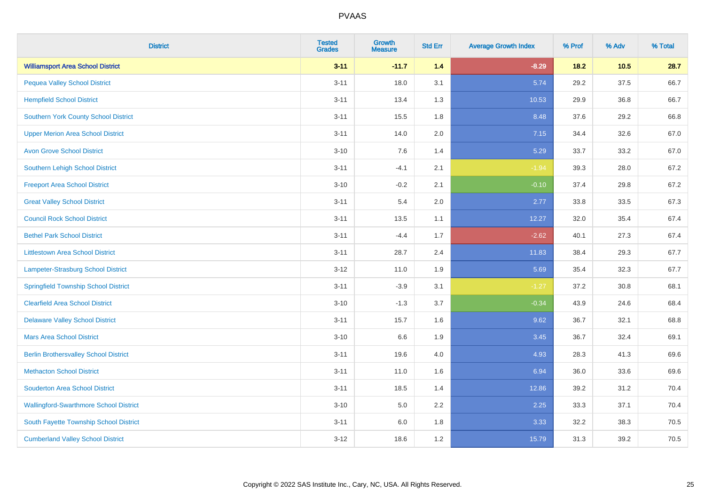| <b>District</b>                               | <b>Tested</b><br><b>Grades</b> | <b>Growth</b><br><b>Measure</b> | <b>Std Err</b> | <b>Average Growth Index</b> | % Prof | % Adv | % Total |
|-----------------------------------------------|--------------------------------|---------------------------------|----------------|-----------------------------|--------|-------|---------|
| <b>Williamsport Area School District</b>      | $3 - 11$                       | $-11.7$                         | 1.4            | $-8.29$                     | $18.2$ | 10.5  | 28.7    |
| <b>Pequea Valley School District</b>          | $3 - 11$                       | 18.0                            | 3.1            | 5.74                        | 29.2   | 37.5  | 66.7    |
| <b>Hempfield School District</b>              | $3 - 11$                       | 13.4                            | 1.3            | 10.53                       | 29.9   | 36.8  | 66.7    |
| <b>Southern York County School District</b>   | $3 - 11$                       | 15.5                            | 1.8            | 8.48                        | 37.6   | 29.2  | 66.8    |
| <b>Upper Merion Area School District</b>      | $3 - 11$                       | 14.0                            | 2.0            | 7.15                        | 34.4   | 32.6  | 67.0    |
| <b>Avon Grove School District</b>             | $3 - 10$                       | 7.6                             | 1.4            | 5.29                        | 33.7   | 33.2  | 67.0    |
| Southern Lehigh School District               | $3 - 11$                       | $-4.1$                          | 2.1            | $-1.94$                     | 39.3   | 28.0  | 67.2    |
| <b>Freeport Area School District</b>          | $3 - 10$                       | $-0.2$                          | 2.1            | $-0.10$                     | 37.4   | 29.8  | 67.2    |
| <b>Great Valley School District</b>           | $3 - 11$                       | 5.4                             | 2.0            | 2.77                        | 33.8   | 33.5  | 67.3    |
| <b>Council Rock School District</b>           | $3 - 11$                       | 13.5                            | 1.1            | 12.27                       | 32.0   | 35.4  | 67.4    |
| <b>Bethel Park School District</b>            | $3 - 11$                       | $-4.4$                          | 1.7            | $-2.62$                     | 40.1   | 27.3  | 67.4    |
| <b>Littlestown Area School District</b>       | $3 - 11$                       | 28.7                            | 2.4            | 11.83                       | 38.4   | 29.3  | 67.7    |
| Lampeter-Strasburg School District            | $3 - 12$                       | 11.0                            | 1.9            | 5.69                        | 35.4   | 32.3  | 67.7    |
| <b>Springfield Township School District</b>   | $3 - 11$                       | $-3.9$                          | 3.1            | $-1.27$                     | 37.2   | 30.8  | 68.1    |
| <b>Clearfield Area School District</b>        | $3 - 10$                       | $-1.3$                          | 3.7            | $-0.34$                     | 43.9   | 24.6  | 68.4    |
| <b>Delaware Valley School District</b>        | $3 - 11$                       | 15.7                            | 1.6            | 9.62                        | 36.7   | 32.1  | 68.8    |
| <b>Mars Area School District</b>              | $3 - 10$                       | 6.6                             | 1.9            | 3.45                        | 36.7   | 32.4  | 69.1    |
| <b>Berlin Brothersvalley School District</b>  | $3 - 11$                       | 19.6                            | 4.0            | 4.93                        | 28.3   | 41.3  | 69.6    |
| <b>Methacton School District</b>              | $3 - 11$                       | 11.0                            | 1.6            | 6.94                        | 36.0   | 33.6  | 69.6    |
| <b>Souderton Area School District</b>         | $3 - 11$                       | 18.5                            | 1.4            | 12.86                       | 39.2   | 31.2  | 70.4    |
| <b>Wallingford-Swarthmore School District</b> | $3 - 10$                       | 5.0                             | 2.2            | 2.25                        | 33.3   | 37.1  | 70.4    |
| South Fayette Township School District        | $3 - 11$                       | 6.0                             | 1.8            | 3.33                        | 32.2   | 38.3  | 70.5    |
| <b>Cumberland Valley School District</b>      | $3 - 12$                       | 18.6                            | 1.2            | 15.79                       | 31.3   | 39.2  | 70.5    |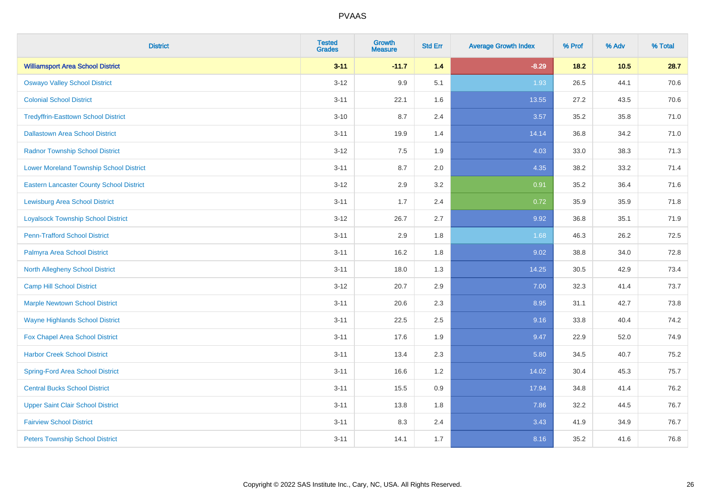| <b>District</b>                                 | <b>Tested</b><br><b>Grades</b> | <b>Growth</b><br><b>Measure</b> | <b>Std Err</b> | <b>Average Growth Index</b> | % Prof | % Adv  | % Total |
|-------------------------------------------------|--------------------------------|---------------------------------|----------------|-----------------------------|--------|--------|---------|
| <b>Williamsport Area School District</b>        | $3 - 11$                       | $-11.7$                         | 1.4            | $-8.29$                     | 18.2   | $10.5$ | 28.7    |
| <b>Oswayo Valley School District</b>            | $3 - 12$                       | 9.9                             | 5.1            | 1.93                        | 26.5   | 44.1   | 70.6    |
| <b>Colonial School District</b>                 | $3 - 11$                       | 22.1                            | 1.6            | 13.55                       | 27.2   | 43.5   | 70.6    |
| <b>Tredyffrin-Easttown School District</b>      | $3 - 10$                       | 8.7                             | 2.4            | 3.57                        | 35.2   | 35.8   | 71.0    |
| <b>Dallastown Area School District</b>          | $3 - 11$                       | 19.9                            | 1.4            | 14.14                       | 36.8   | 34.2   | 71.0    |
| <b>Radnor Township School District</b>          | $3 - 12$                       | 7.5                             | 1.9            | 4.03                        | 33.0   | 38.3   | 71.3    |
| <b>Lower Moreland Township School District</b>  | $3 - 11$                       | 8.7                             | 2.0            | 4.35                        | 38.2   | 33.2   | 71.4    |
| <b>Eastern Lancaster County School District</b> | $3 - 12$                       | 2.9                             | 3.2            | 0.91                        | 35.2   | 36.4   | 71.6    |
| <b>Lewisburg Area School District</b>           | $3 - 11$                       | 1.7                             | 2.4            | 0.72                        | 35.9   | 35.9   | 71.8    |
| <b>Loyalsock Township School District</b>       | $3 - 12$                       | 26.7                            | 2.7            | 9.92                        | 36.8   | 35.1   | 71.9    |
| <b>Penn-Trafford School District</b>            | $3 - 11$                       | 2.9                             | 1.8            | 1.68                        | 46.3   | 26.2   | 72.5    |
| Palmyra Area School District                    | $3 - 11$                       | 16.2                            | 1.8            | 9.02                        | 38.8   | 34.0   | 72.8    |
| North Allegheny School District                 | $3 - 11$                       | 18.0                            | 1.3            | 14.25                       | 30.5   | 42.9   | 73.4    |
| <b>Camp Hill School District</b>                | $3 - 12$                       | 20.7                            | 2.9            | 7.00                        | 32.3   | 41.4   | 73.7    |
| <b>Marple Newtown School District</b>           | $3 - 11$                       | 20.6                            | 2.3            | 8.95                        | 31.1   | 42.7   | 73.8    |
| <b>Wayne Highlands School District</b>          | $3 - 11$                       | 22.5                            | 2.5            | 9.16                        | 33.8   | 40.4   | 74.2    |
| Fox Chapel Area School District                 | $3 - 11$                       | 17.6                            | 1.9            | 9.47                        | 22.9   | 52.0   | 74.9    |
| <b>Harbor Creek School District</b>             | $3 - 11$                       | 13.4                            | 2.3            | 5.80                        | 34.5   | 40.7   | 75.2    |
| <b>Spring-Ford Area School District</b>         | $3 - 11$                       | 16.6                            | 1.2            | 14.02                       | 30.4   | 45.3   | 75.7    |
| <b>Central Bucks School District</b>            | $3 - 11$                       | 15.5                            | 0.9            | 17.94                       | 34.8   | 41.4   | 76.2    |
| <b>Upper Saint Clair School District</b>        | $3 - 11$                       | 13.8                            | 1.8            | 7.86                        | 32.2   | 44.5   | 76.7    |
| <b>Fairview School District</b>                 | $3 - 11$                       | 8.3                             | 2.4            | 3.43                        | 41.9   | 34.9   | 76.7    |
| <b>Peters Township School District</b>          | $3 - 11$                       | 14.1                            | 1.7            | 8.16                        | 35.2   | 41.6   | 76.8    |